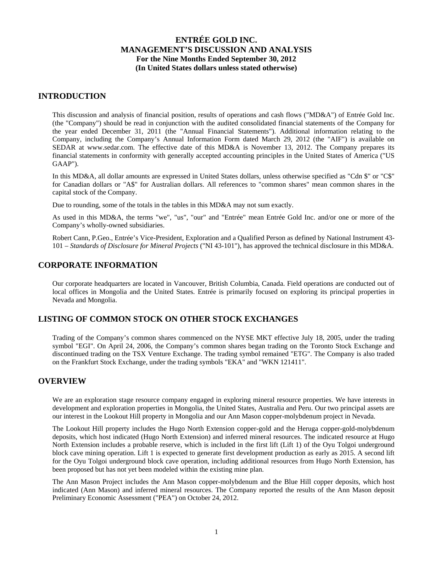## **INTRODUCTION**

This discussion and analysis of financial position, results of operations and cash flows ("MD&A") of Entrée Gold Inc. (the "Company") should be read in conjunction with the audited consolidated financial statements of the Company for the year ended December 31, 2011 (the "Annual Financial Statements"). Additional information relating to the Company, including the Company's Annual Information Form dated March 29, 2012 (the "AIF") is available on SEDAR at www.sedar.com. The effective date of this MD&A is November 13, 2012. The Company prepares its financial statements in conformity with generally accepted accounting principles in the United States of America ("US GAAP").

In this MD&A, all dollar amounts are expressed in United States dollars, unless otherwise specified as "Cdn \$" or "C\$" for Canadian dollars or "A\$" for Australian dollars. All references to "common shares" mean common shares in the capital stock of the Company.

Due to rounding, some of the totals in the tables in this MD&A may not sum exactly.

As used in this MD&A, the terms "we", "us", "our" and "Entrée" mean Entrée Gold Inc. and/or one or more of the Company's wholly-owned subsidiaries.

Robert Cann, P.Geo., Entrée's Vice-President, Exploration and a Qualified Person as defined by National Instrument 43- 101 – *Standards of Disclosure for Mineral Projects* ("NI 43-101"), has approved the technical disclosure in this MD&A.

# **CORPORATE INFORMATION**

Our corporate headquarters are located in Vancouver, British Columbia, Canada. Field operations are conducted out of local offices in Mongolia and the United States. Entrée is primarily focused on exploring its principal properties in Nevada and Mongolia.

# **LISTING OF COMMON STOCK ON OTHER STOCK EXCHANGES**

Trading of the Company's common shares commenced on the NYSE MKT effective July 18, 2005, under the trading symbol "EGI". On April 24, 2006, the Company's common shares began trading on the Toronto Stock Exchange and discontinued trading on the TSX Venture Exchange. The trading symbol remained "ETG". The Company is also traded on the Frankfurt Stock Exchange, under the trading symbols "EKA" and "WKN 121411".

# **OVERVIEW**

We are an exploration stage resource company engaged in exploring mineral resource properties. We have interests in development and exploration properties in Mongolia, the United States, Australia and Peru. Our two principal assets are our interest in the Lookout Hill property in Mongolia and our Ann Mason copper-molybdenum project in Nevada.

The Lookout Hill property includes the Hugo North Extension copper-gold and the Heruga copper-gold-molybdenum deposits, which host indicated (Hugo North Extension) and inferred mineral resources. The indicated resource at Hugo North Extension includes a probable reserve, which is included in the first lift (Lift 1) of the Oyu Tolgoi underground block cave mining operation. Lift 1 is expected to generate first development production as early as 2015. A second lift for the Oyu Tolgoi underground block cave operation, including additional resources from Hugo North Extension, has been proposed but has not yet been modeled within the existing mine plan.

The Ann Mason Project includes the Ann Mason copper-molybdenum and the Blue Hill copper deposits, which host indicated (Ann Mason) and inferred mineral resources. The Company reported the results of the Ann Mason deposit Preliminary Economic Assessment ("PEA") on October 24, 2012.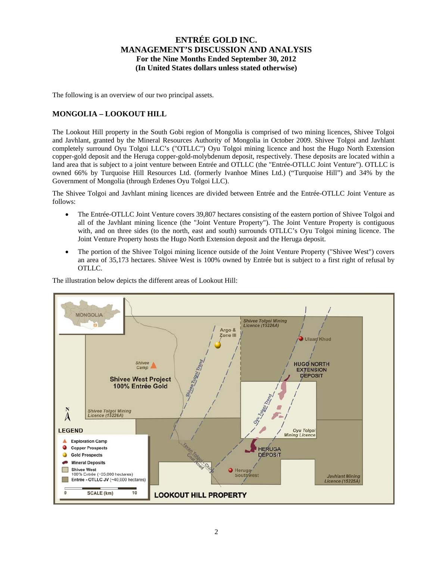The following is an overview of our two principal assets.

## **MONGOLIA – LOOKOUT HILL**

The Lookout Hill property in the South Gobi region of Mongolia is comprised of two mining licences, Shivee Tolgoi and Javhlant, granted by the Mineral Resources Authority of Mongolia in October 2009. Shivee Tolgoi and Javhlant completely surround Oyu Tolgoi LLC's ("OTLLC") Oyu Tolgoi mining licence and host the Hugo North Extension copper-gold deposit and the Heruga copper-gold-molybdenum deposit, respectively. These deposits are located within a land area that is subject to a joint venture between Entrée and OTLLC (the "Entrée-OTLLC Joint Venture"). OTLLC is owned 66% by Turquoise Hill Resources Ltd. (formerly Ivanhoe Mines Ltd.) ("Turquoise Hill") and 34% by the Government of Mongolia (through Erdenes Oyu Tolgoi LLC).

The Shivee Tolgoi and Javhlant mining licences are divided between Entrée and the Entrée-OTLLC Joint Venture as follows:

- The Entrée-OTLLC Joint Venture covers 39,807 hectares consisting of the eastern portion of Shivee Tolgoi and all of the Javhlant mining licence (the "Joint Venture Property"). The Joint Venture Property is contiguous with, and on three sides (to the north, east and south) surrounds OTLLC's Oyu Tolgoi mining licence. The Joint Venture Property hosts the Hugo North Extension deposit and the Heruga deposit.
- The portion of the Shivee Tolgoi mining licence outside of the Joint Venture Property ("Shivee West") covers an area of 35,173 hectares. Shivee West is 100% owned by Entrée but is subject to a first right of refusal by OTLLC.

The illustration below depicts the different areas of Lookout Hill:

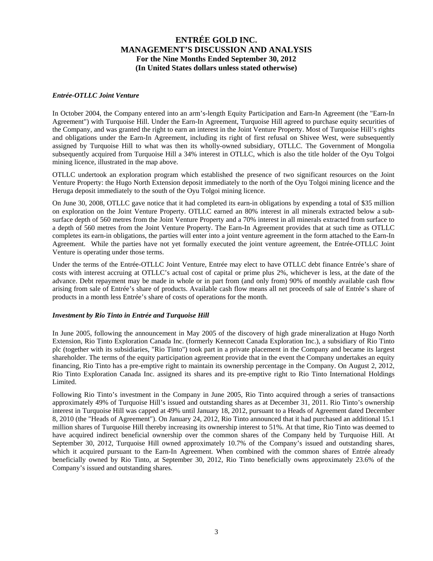### *Entrée-OTLLC Joint Venture*

In October 2004, the Company entered into an arm's-length Equity Participation and Earn-In Agreement (the "Earn-In Agreement") with Turquoise Hill. Under the Earn-In Agreement, Turquoise Hill agreed to purchase equity securities of the Company, and was granted the right to earn an interest in the Joint Venture Property. Most of Turquoise Hill's rights and obligations under the Earn-In Agreement, including its right of first refusal on Shivee West, were subsequently assigned by Turquoise Hill to what was then its wholly-owned subsidiary, OTLLC. The Government of Mongolia subsequently acquired from Turquoise Hill a 34% interest in OTLLC, which is also the title holder of the Oyu Tolgoi mining licence, illustrated in the map above.

OTLLC undertook an exploration program which established the presence of two significant resources on the Joint Venture Property: the Hugo North Extension deposit immediately to the north of the Oyu Tolgoi mining licence and the Heruga deposit immediately to the south of the Oyu Tolgoi mining licence.

On June 30, 2008, OTLLC gave notice that it had completed its earn-in obligations by expending a total of \$35 million on exploration on the Joint Venture Property. OTLLC earned an 80% interest in all minerals extracted below a subsurface depth of 560 metres from the Joint Venture Property and a 70% interest in all minerals extracted from surface to a depth of 560 metres from the Joint Venture Property. The Earn-In Agreement provides that at such time as OTLLC completes its earn-in obligations, the parties will enter into a joint venture agreement in the form attached to the Earn-In Agreement. While the parties have not yet formally executed the joint venture agreement, the Entrée-OTLLC Joint Venture is operating under those terms.

Under the terms of the Entrée-OTLLC Joint Venture, Entrée may elect to have OTLLC debt finance Entrée's share of costs with interest accruing at OTLLC's actual cost of capital or prime plus 2%, whichever is less, at the date of the advance. Debt repayment may be made in whole or in part from (and only from) 90% of monthly available cash flow arising from sale of Entrée's share of products. Available cash flow means all net proceeds of sale of Entrée's share of products in a month less Entrée's share of costs of operations for the month.

#### *Investment by Rio Tinto in Entrée and Turquoise Hill*

In June 2005, following the announcement in May 2005 of the discovery of high grade mineralization at Hugo North Extension, Rio Tinto Exploration Canada Inc. (formerly Kennecott Canada Exploration Inc.), a subsidiary of Rio Tinto plc (together with its subsidiaries, "Rio Tinto") took part in a private placement in the Company and became its largest shareholder. The terms of the equity participation agreement provide that in the event the Company undertakes an equity financing, Rio Tinto has a pre-emptive right to maintain its ownership percentage in the Company. On August 2, 2012, Rio Tinto Exploration Canada Inc. assigned its shares and its pre-emptive right to Rio Tinto International Holdings Limited.

Following Rio Tinto's investment in the Company in June 2005, Rio Tinto acquired through a series of transactions approximately 49% of Turquoise Hill's issued and outstanding shares as at December 31, 2011. Rio Tinto's ownership interest in Turquoise Hill was capped at 49% until January 18, 2012, pursuant to a Heads of Agreement dated December 8, 2010 (the "Heads of Agreement"). On January 24, 2012, Rio Tinto announced that it had purchased an additional 15.1 million shares of Turquoise Hill thereby increasing its ownership interest to 51%. At that time, Rio Tinto was deemed to have acquired indirect beneficial ownership over the common shares of the Company held by Turquoise Hill. At September 30, 2012, Turquoise Hill owned approximately 10.7% of the Company's issued and outstanding shares, which it acquired pursuant to the Earn-In Agreement. When combined with the common shares of Entrée already beneficially owned by Rio Tinto, at September 30, 2012, Rio Tinto beneficially owns approximately 23.6% of the Company's issued and outstanding shares.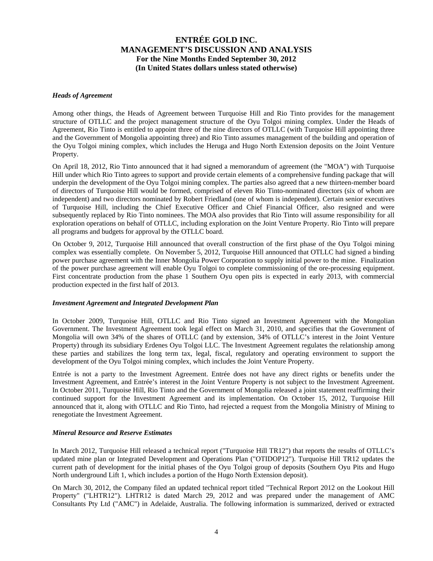#### *Heads of Agreement*

Among other things, the Heads of Agreement between Turquoise Hill and Rio Tinto provides for the management structure of OTLLC and the project management structure of the Oyu Tolgoi mining complex. Under the Heads of Agreement, Rio Tinto is entitled to appoint three of the nine directors of OTLLC (with Turquoise Hill appointing three and the Government of Mongolia appointing three) and Rio Tinto assumes management of the building and operation of the Oyu Tolgoi mining complex, which includes the Heruga and Hugo North Extension deposits on the Joint Venture Property.

On April 18, 2012, Rio Tinto announced that it had signed a memorandum of agreement (the "MOA") with Turquoise Hill under which Rio Tinto agrees to support and provide certain elements of a comprehensive funding package that will underpin the development of the Oyu Tolgoi mining complex. The parties also agreed that a new thirteen-member board of directors of Turquoise Hill would be formed, comprised of eleven Rio Tinto-nominated directors (six of whom are independent) and two directors nominated by Robert Friedland (one of whom is independent). Certain senior executives of Turquoise Hill, including the Chief Executive Officer and Chief Financial Officer, also resigned and were subsequently replaced by Rio Tinto nominees. The MOA also provides that Rio Tinto will assume responsibility for all exploration operations on behalf of OTLLC, including exploration on the Joint Venture Property. Rio Tinto will prepare all programs and budgets for approval by the OTLLC board.

On October 9, 2012, Turquoise Hill announced that overall construction of the first phase of the Oyu Tolgoi mining complex was essentially complete. On November 5, 2012, Turquoise Hill announced that OTLLC had signed a binding power purchase agreement with the Inner Mongolia Power Corporation to supply initial power to the mine. Finalization of the power purchase agreement will enable Oyu Tolgoi to complete commissioning of the ore-processing equipment. First concentrate production from the phase 1 Southern Oyu open pits is expected in early 2013, with commercial production expected in the first half of 2013.

#### *Investment Agreement and Integrated Development Plan*

In October 2009, Turquoise Hill, OTLLC and Rio Tinto signed an Investment Agreement with the Mongolian Government. The Investment Agreement took legal effect on March 31, 2010, and specifies that the Government of Mongolia will own 34% of the shares of OTLLC (and by extension, 34% of OTLLC's interest in the Joint Venture Property) through its subsidiary Erdenes Oyu Tolgoi LLC. The Investment Agreement regulates the relationship among these parties and stabilizes the long term tax, legal, fiscal, regulatory and operating environment to support the development of the Oyu Tolgoi mining complex, which includes the Joint Venture Property.

Entrée is not a party to the Investment Agreement. Entrée does not have any direct rights or benefits under the Investment Agreement, and Entrée's interest in the Joint Venture Property is not subject to the Investment Agreement. In October 2011, Turquoise Hill, Rio Tinto and the Government of Mongolia released a joint statement reaffirming their continued support for the Investment Agreement and its implementation. On October 15, 2012, Turquoise Hill announced that it, along with OTLLC and Rio Tinto, had rejected a request from the Mongolia Ministry of Mining to renegotiate the Investment Agreement.

#### *Mineral Resource and Reserve Estimates*

In March 2012, Turquoise Hill released a technical report ("Turquoise Hill TR12") that reports the results of OTLLC's updated mine plan or Integrated Development and Operations Plan ("OTIDOP12"). Turquoise Hill TR12 updates the current path of development for the initial phases of the Oyu Tolgoi group of deposits (Southern Oyu Pits and Hugo North underground Lift 1, which includes a portion of the Hugo North Extension deposit).

On March 30, 2012, the Company filed an updated technical report titled "Technical Report 2012 on the Lookout Hill Property" ("LHTR12"). LHTR12 is dated March 29, 2012 and was prepared under the management of AMC Consultants Pty Ltd ("AMC") in Adelaide, Australia. The following information is summarized, derived or extracted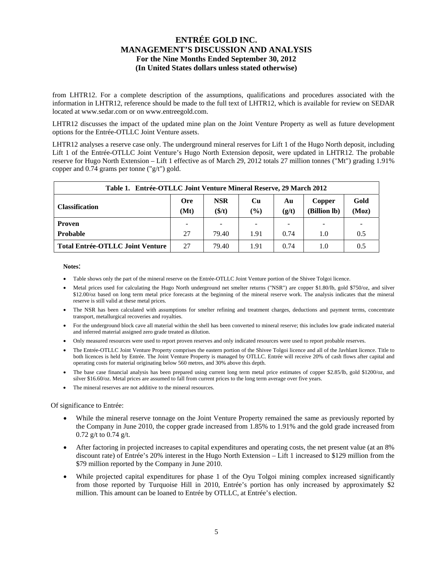from LHTR12. For a complete description of the assumptions, qualifications and procedures associated with the information in LHTR12, reference should be made to the full text of LHTR12, which is available for review on SEDAR located at www.sedar.com or on www.entreegold.com.

LHTR12 discusses the impact of the updated mine plan on the Joint Venture Property as well as future development options for the Entrée-OTLLC Joint Venture assets.

LHTR12 analyses a reserve case only. The underground mineral reserves for Lift 1 of the Hugo North deposit, including Lift 1 of the Entrée-OTLLC Joint Venture's Hugo North Extension deposit, were updated in LHTR12. The probable reserve for Hugo North Extension – Lift 1 effective as of March 29, 2012 totals 27 million tonnes ("Mt") grading 1.91% copper and 0.74 grams per tonne ("g/t") gold.

| Table 1. Entrée-OTLLC Joint Venture Mineral Reserve, 29 March 2012 |                    |                      |                               |             |                        |               |  |  |  |  |  |
|--------------------------------------------------------------------|--------------------|----------------------|-------------------------------|-------------|------------------------|---------------|--|--|--|--|--|
| <b>Classification</b>                                              | <b>Ore</b><br>(Mt) | <b>NSR</b><br>(\$/t) | $\mathbf{C}\mathbf{u}$<br>(%) | Au<br>(g/t) | Copper<br>(Billion lb) | Gold<br>(Moz) |  |  |  |  |  |
| <b>Proven</b>                                                      |                    | -                    | -                             |             |                        |               |  |  |  |  |  |
| <b>Probable</b>                                                    | 27                 | 79.40                | 1.91                          | 0.74        | 1.0                    | 0.5           |  |  |  |  |  |
| <b>Total Entrée-OTLLC Joint Venture</b>                            | 27                 | 79.40                | 1.91                          | 0.74        | 1.0                    | 0.5           |  |  |  |  |  |

**Notes**:

- Table shows only the part of the mineral reserve on the Entrée-OTLLC Joint Venture portion of the Shivee Tolgoi licence.
- Metal prices used for calculating the Hugo North underground net smelter returns ("NSR") are copper \$1.80/lb, gold \$750/oz, and silver \$12.00/oz based on long term metal price forecasts at the beginning of the mineral reserve work. The analysis indicates that the mineral reserve is still valid at these metal prices.
- The NSR has been calculated with assumptions for smelter refining and treatment charges, deductions and payment terms, concentrate transport, metallurgical recoveries and royalties.
- For the underground block cave all material within the shell has been converted to mineral reserve; this includes low grade indicated material and inferred material assigned zero grade treated as dilution.
- Only measured resources were used to report proven reserves and only indicated resources were used to report probable reserves.
- The Entrée-OTLLC Joint Venture Property comprises the eastern portion of the Shivee Tolgoi licence and all of the Javhlant licence. Title to both licences is held by Entrée. The Joint Venture Property is managed by OTLLC. Entrée will receive 20% of cash flows after capital and operating costs for material originating below 560 metres, and 30% above this depth.
- The base case financial analysis has been prepared using current long term metal price estimates of copper \$2.85/lb, gold \$1200/oz, and silver \$16.60/oz. Metal prices are assumed to fall from current prices to the long term average over five years.
- The mineral reserves are not additive to the mineral resources.

Of significance to Entrée:

- While the mineral reserve tonnage on the Joint Venture Property remained the same as previously reported by the Company in June 2010, the copper grade increased from 1.85% to 1.91% and the gold grade increased from 0.72 g/t to 0.74 g/t.
- After factoring in projected increases to capital expenditures and operating costs, the net present value (at an 8% discount rate) of Entrée's 20% interest in the Hugo North Extension – Lift 1 increased to \$129 million from the \$79 million reported by the Company in June 2010.
- While projected capital expenditures for phase 1 of the Oyu Tolgoi mining complex increased significantly from those reported by Turquoise Hill in 2010, Entrée's portion has only increased by approximately \$2 million. This amount can be loaned to Entrée by OTLLC, at Entrée's election.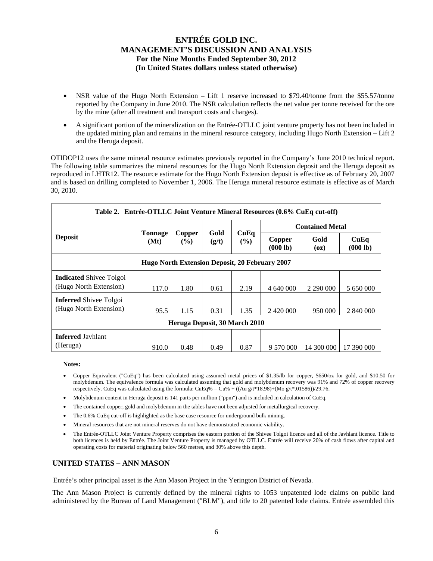- NSR value of the Hugo North Extension Lift 1 reserve increased to \$79.40/tonne from the \$55.57/tonne reported by the Company in June 2010. The NSR calculation reflects the net value per tonne received for the ore by the mine (after all treatment and transport costs and charges).
- A significant portion of the mineralization on the Entrée-OTLLC joint venture property has not been included in the updated mining plan and remains in the mineral resource category, including Hugo North Extension – Lift 2 and the Heruga deposit.

OTIDOP12 uses the same mineral resource estimates previously reported in the Company's June 2010 technical report. The following table summarizes the mineral resources for the Hugo North Extension deposit and the Heruga deposit as reproduced in LHTR12. The resource estimate for the Hugo North Extension deposit is effective as of February 20, 2007 and is based on drilling completed to November 1, 2006. The Heruga mineral resource estimate is effective as of March 30, 2010.

| Table 2. Entrée-OTLLC Joint Venture Mineral Resources (0.6% CuEq cut-off) |                                                                                      |                               |      |                    |              |                        |            |  |  |  |  |  |
|---------------------------------------------------------------------------|--------------------------------------------------------------------------------------|-------------------------------|------|--------------------|--------------|------------------------|------------|--|--|--|--|--|
|                                                                           |                                                                                      |                               |      |                    |              | <b>Contained Metal</b> |            |  |  |  |  |  |
| <b>Deposit</b>                                                            | Gold<br>CuEq<br><b>Tonnage</b><br>Copper<br>(Mt)<br>$\frac{9}{6}$<br>(g/t)<br>$($ %) |                               |      | Copper<br>(000 lb) | Gold<br>(oz) | CuEq<br>(000 lb)       |            |  |  |  |  |  |
| Hugo North Extension Deposit, 20 February 2007                            |                                                                                      |                               |      |                    |              |                        |            |  |  |  |  |  |
| <b>Indicated Shivee Tolgoi</b><br>(Hugo North Extension)                  | 117.0                                                                                | 1.80                          | 0.61 | 2.19               | 4 640 000    | 2 290 000              | 5 650 000  |  |  |  |  |  |
| <b>Inferred</b> Shivee Tolgoi<br>(Hugo North Extension)                   | 95.5                                                                                 | 1.15                          | 0.31 | 1.35               |              | 950 000                | 2 840 000  |  |  |  |  |  |
|                                                                           |                                                                                      | Heruga Deposit, 30 March 2010 |      |                    |              |                        |            |  |  |  |  |  |
| <b>Inferred Jayhlant</b><br>(Heruga)                                      | 910.0                                                                                | 0.48                          | 0.49 | 0.87               | 9 570 000    | 14 300 000             | 17 390 000 |  |  |  |  |  |

**Notes:** 

- Copper Equivalent ("CuEq") has been calculated using assumed metal prices of \$1.35/lb for copper, \$650/oz for gold, and \$10.50 for molybdenum. The equivalence formula was calculated assuming that gold and molybdenum recovery was 91% and 72% of copper recovery respectively. CuEq was calculated using the formula: CuEq% = Cu% + ((Au g/t\*18.98)+(Mo g/t\*.01586))/29.76.
- Molybdenum content in Heruga deposit is 141 parts per million ("ppm") and is included in calculation of CuEq.
- The contained copper, gold and molybdenum in the tables have not been adjusted for metallurgical recovery.
- The 0.6% CuEq cut-off is highlighted as the base case resource for underground bulk mining.
- Mineral resources that are not mineral reserves do not have demonstrated economic viability.
- The Entrée-OTLLC Joint Venture Property comprises the eastern portion of the Shivee Tolgoi licence and all of the Javhlant licence. Title to both licences is held by Entrée. The Joint Venture Property is managed by OTLLC. Entrée will receive 20% of cash flows after capital and operating costs for material originating below 560 metres, and 30% above this depth.

# **UNITED STATES – ANN MASON**

Entrée's other principal asset is the Ann Mason Project in the Yerington District of Nevada.

The Ann Mason Project is currently defined by the mineral rights to 1053 unpatented lode claims on public land administered by the Bureau of Land Management ("BLM"), and title to 20 patented lode claims. Entrée assembled this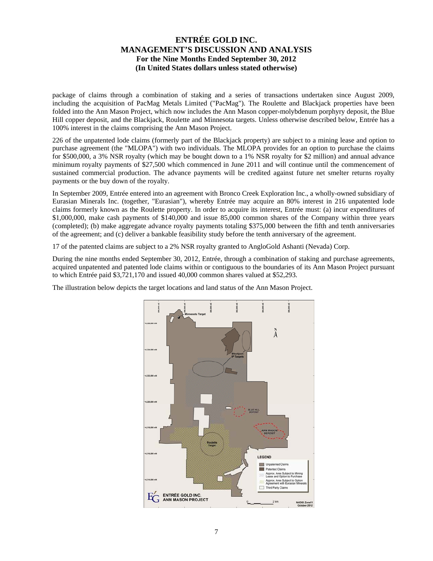package of claims through a combination of staking and a series of transactions undertaken since August 2009, including the acquisition of PacMag Metals Limited ("PacMag"). The Roulette and Blackjack properties have been folded into the Ann Mason Project, which now includes the Ann Mason copper-molybdenum porphyry deposit, the Blue Hill copper deposit, and the Blackjack, Roulette and Minnesota targets. Unless otherwise described below, Entrée has a 100% interest in the claims comprising the Ann Mason Project.

226 of the unpatented lode claims (formerly part of the Blackjack property) are subject to a mining lease and option to purchase agreement (the "MLOPA") with two individuals. The MLOPA provides for an option to purchase the claims for \$500,000, a 3% NSR royalty (which may be bought down to a 1% NSR royalty for \$2 million) and annual advance minimum royalty payments of \$27,500 which commenced in June 2011 and will continue until the commencement of sustained commercial production. The advance payments will be credited against future net smelter returns royalty payments or the buy down of the royalty.

In September 2009, Entrée entered into an agreement with Bronco Creek Exploration Inc., a wholly-owned subsidiary of Eurasian Minerals Inc. (together, "Eurasian"), whereby Entrée may acquire an 80% interest in 216 unpatented lode claims formerly known as the Roulette property. In order to acquire its interest, Entrée must: (a) incur expenditures of \$1,000,000, make cash payments of \$140,000 and issue 85,000 common shares of the Company within three years (completed); (b) make aggregate advance royalty payments totaling \$375,000 between the fifth and tenth anniversaries of the agreement; and (c) deliver a bankable feasibility study before the tenth anniversary of the agreement.

17 of the patented claims are subject to a 2% NSR royalty granted to AngloGold Ashanti (Nevada) Corp.

During the nine months ended September 30, 2012, Entrée, through a combination of staking and purchase agreements, acquired unpatented and patented lode claims within or contiguous to the boundaries of its Ann Mason Project pursuant to which Entrée paid \$3,721,170 and issued 40,000 common shares valued at \$52,293.

The illustration below depicts the target locations and land status of the Ann Mason Project.

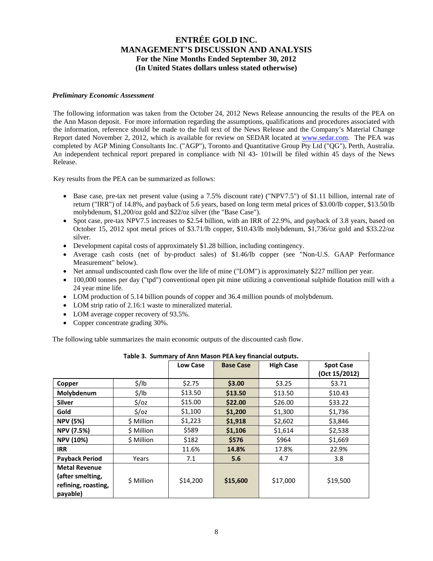#### *Preliminary Economic Assessment*

The following information was taken from the October 24, 2012 News Release announcing the results of the PEA on the Ann Mason deposit. For more information regarding the assumptions, qualifications and procedures associated with the information, reference should be made to the full text of the News Release and the Company's Material Change Report dated November 2, 2012, which is available for review on SEDAR located at www.sedar.com. The PEA was completed by AGP Mining Consultants Inc. ("AGP"), Toronto and Quantitative Group Pty Ltd ("QG"), Perth, Australia. An independent technical report prepared in compliance with NI 43- 101will be filed within 45 days of the News Release.

Key results from the PEA can be summarized as follows:

- Base case, pre-tax net present value (using a 7.5% discount rate) ("NPV7.5") of \$1.11 billion, internal rate of return ("IRR") of 14.8%, and payback of 5.6 years, based on long term metal prices of \$3.00/lb copper, \$13.50/lb molybdenum, \$1,200/oz gold and \$22/oz silver (the "Base Case").
- Spot case, pre-tax NPV7.5 increases to \$2.54 billion, with an IRR of 22.9%, and payback of 3.8 years, based on October 15, 2012 spot metal prices of \$3.71/lb copper, \$10.43/lb molybdenum, \$1,736/oz gold and \$33.22/oz silver.
- Development capital costs of approximately \$1.28 billion, including contingency.
- Average cash costs (net of by-product sales) of \$1.46/lb copper (see "Non-U.S. GAAP Performance Measurement" below).
- Net annual undiscounted cash flow over the life of mine ("LOM") is approximately \$227 million per year.
- 100,000 tonnes per day ("tpd") conventional open pit mine utilizing a conventional sulphide flotation mill with a 24 year mine life.
- LOM production of 5.14 billion pounds of copper and 36.4 million pounds of molybdenum.
- LOM strip ratio of 2.16:1 waste to mineralized material.
- LOM average copper recovery of 93.5%.
- Copper concentrate grading 30%.

The following table summarizes the main economic outputs of the discounted cash flow.

|                                                                             | Table 3. Summary of Ann Mason PEA key financial outputs. |                 |                  |                  |                                   |
|-----------------------------------------------------------------------------|----------------------------------------------------------|-----------------|------------------|------------------|-----------------------------------|
|                                                                             |                                                          | <b>Low Case</b> | <b>Base Case</b> | <b>High Case</b> | <b>Spot Case</b><br>(Oct 15/2012) |
| Copper                                                                      | $\frac{1}{2}$ /lb                                        | \$2.75          | \$3.00           | \$3.25           | \$3.71                            |
| Molybdenum                                                                  | $\frac{1}{2}$ /lb                                        | \$13.50         | \$13.50          | \$13.50          | \$10.43                           |
| Silver                                                                      | $\frac{2}{3}$ /0z                                        | \$15.00         | \$22.00          | \$26.00          | \$33.22                           |
| Gold                                                                        | $\frac{2}{3}$ /0z                                        | \$1,100         | \$1,200          | \$1,300          | \$1,736                           |
| <b>NPV (5%)</b>                                                             | \$ Million                                               | \$1,223         | \$1,918          | \$2,602          | \$3,846                           |
| <b>NPV (7.5%)</b>                                                           | \$ Million                                               | \$589           | \$1,106          | \$1,614          | \$2,538                           |
| <b>NPV (10%)</b>                                                            | \$ Million                                               | \$182           | \$576            | \$964            | \$1,669                           |
| <b>IRR</b>                                                                  |                                                          | 11.6%           | 14.8%            | 17.8%            | 22.9%                             |
| <b>Payback Period</b>                                                       | Years                                                    | 7.1             | 5.6              | 4.7              | 3.8                               |
| <b>Metal Revenue</b><br>(after smelting,<br>refining, roasting,<br>payable) | \$ Million                                               | \$14,200        | \$15,600         | \$17,000         | \$19,500                          |

|  | able 3. Summary of Ann Mason PEA key financial outputs. |  |
|--|---------------------------------------------------------|--|
|  |                                                         |  |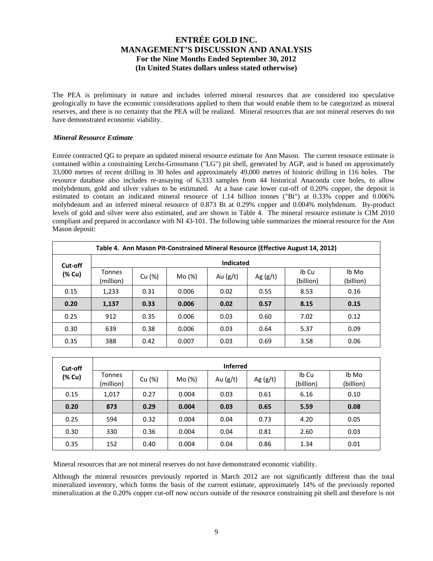The PEA is preliminary in nature and includes inferred mineral resources that are considered too speculative geologically to have the economic considerations applied to them that would enable them to be categorized as mineral reserves, and there is no certainty that the PEA will be realized. Mineral resources that are not mineral reserves do not have demonstrated economic viability.

### *Mineral Resource Estimate*

Entrée contracted QG to prepare an updated mineral resource estimate for Ann Mason. The current resource estimate is contained within a constraining Lerchs-Grossmann ("LG") pit shell, generated by AGP, and is based on approximately 33,000 metres of recent drilling in 30 holes and approximately 49,000 metres of historic drilling in 116 holes. The resource database also includes re-assaying of 6,333 samples from 44 historical Anaconda core holes, to allow molybdenum, gold and silver values to be estimated. At a base case lower cut-off of 0.20% copper, the deposit is estimated to contain an indicated mineral resource of 1.14 billion tonnes ("Bt") at 0.33% copper and 0.006% molybdenum and an inferred mineral resource of 0.873 Bt at 0.29% copper and 0.004% molybdenum. By-product levels of gold and silver were also estimated, and are shown in Table 4. The mineral resource estimate is CIM 2010 compliant and prepared in accordance with NI 43-101. The following table summarizes the mineral resource for the Ann Mason deposit:

|        | Table 4. Ann Mason Pit-Constrained Mineral Resource (Effective August 14, 2012) |        |        |            |            |                    |                    |  |  |  |  |  |
|--------|---------------------------------------------------------------------------------|--------|--------|------------|------------|--------------------|--------------------|--|--|--|--|--|
|        | <b>Indicated</b><br>Cut-off                                                     |        |        |            |            |                    |                    |  |  |  |  |  |
| (% Cu) | <b>Tonnes</b><br>(million)                                                      | Cu (%) | Mo (%) | Au $(g/t)$ | Ag $(g/t)$ | Ib Cu<br>(billion) | lb Mo<br>(billion) |  |  |  |  |  |
| 0.15   | 1,233                                                                           | 0.31   | 0.006  | 0.02       | 0.55       | 8.53               | 0.16               |  |  |  |  |  |
| 0.20   | 1,137                                                                           | 0.33   | 0.006  | 0.02       | 0.57       | 8.15               | 0.15               |  |  |  |  |  |
| 0.25   | 912                                                                             | 0.35   | 0.006  | 0.03       | 0.60       | 7.02               | 0.12               |  |  |  |  |  |
| 0.30   | 639                                                                             | 0.38   | 0.006  | 0.03       | 0.64       | 5.37               | 0.09               |  |  |  |  |  |
| 0.35   | 388                                                                             | 0.42   | 0.007  | 0.03       | 0.69       | 3.58               | 0.06               |  |  |  |  |  |

| Cut-off | <b>Inferred</b>            |        |        |            |            |                    |                    |  |  |  |  |  |
|---------|----------------------------|--------|--------|------------|------------|--------------------|--------------------|--|--|--|--|--|
| (% Cu)  | <b>Tonnes</b><br>(million) | Cu (%) | Mo (%) | Au $(g/t)$ | Ag $(g/t)$ | Ib Cu<br>(billion) | lb Mo<br>(billion) |  |  |  |  |  |
| 0.15    | 1,017                      | 0.27   | 0.004  | 0.03       | 0.61       | 6.16               | 0.10               |  |  |  |  |  |
| 0.20    | 873                        | 0.29   | 0.004  | 0.03       | 0.65       | 5.59               | 0.08               |  |  |  |  |  |
| 0.25    | 594                        | 0.32   | 0.004  | 0.04       | 0.73       | 4.20               | 0.05               |  |  |  |  |  |
| 0.30    | 330                        | 0.36   | 0.004  | 0.04       | 0.81       | 2.60               | 0.03               |  |  |  |  |  |
| 0.35    | 152                        | 0.40   | 0.004  | 0.04       | 0.86       | 1.34               | 0.01               |  |  |  |  |  |

Mineral resources that are not mineral reserves do not have demonstrated economic viability.

Although the mineral resources previously reported in March 2012 are not significantly different than the total mineralized inventory, which forms the basis of the current estimate, approximately 14% of the previously reported mineralization at the 0.20% copper cut-off now occurs outside of the resource constraining pit shell and therefore is not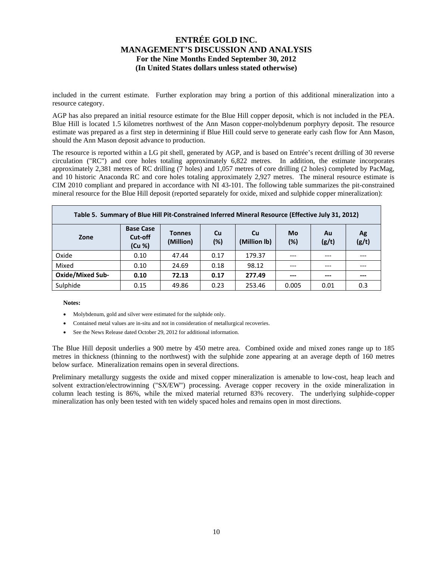included in the current estimate. Further exploration may bring a portion of this additional mineralization into a resource category.

AGP has also prepared an initial resource estimate for the Blue Hill copper deposit, which is not included in the PEA. Blue Hill is located 1.5 kilometres northwest of the Ann Mason copper-molybdenum porphyry deposit. The resource estimate was prepared as a first step in determining if Blue Hill could serve to generate early cash flow for Ann Mason, should the Ann Mason deposit advance to production.

The resource is reported within a LG pit shell, generated by AGP, and is based on Entrée's recent drilling of 30 reverse circulation ("RC") and core holes totaling approximately 6,822 metres. In addition, the estimate incorporates approximately 2,381 metres of RC drilling (7 holes) and 1,057 metres of core drilling (2 holes) completed by PacMag, and 10 historic Anaconda RC and core holes totaling approximately 2,927 metres. The mineral resource estimate is CIM 2010 compliant and prepared in accordance with NI 43-101. The following table summarizes the pit-constrained mineral resource for the Blue Hill deposit (reported separately for oxide, mixed and sulphide copper mineralization):

| Table 5. Summary of Blue Hill Pit-Constrained Inferred Mineral Resource (Effective July 31, 2012) |                                       |                            |           |                    |           |             |             |  |  |  |  |  |
|---------------------------------------------------------------------------------------------------|---------------------------------------|----------------------------|-----------|--------------------|-----------|-------------|-------------|--|--|--|--|--|
| Zone                                                                                              | <b>Base Case</b><br>Cut-off<br>(Cu %) | <b>Tonnes</b><br>(Million) | Cu<br>(%) | Cu<br>(Million lb) | Mo<br>(%) | Au<br>(g/t) | Ag<br>(g/t) |  |  |  |  |  |
| Oxide                                                                                             | 0.10                                  | 47.44                      | 0.17      | 179.37             | ---       | ---         |             |  |  |  |  |  |
| Mixed                                                                                             | 0.10                                  | 24.69                      | 0.18      | 98.12              |           |             |             |  |  |  |  |  |
| <b>Oxide/Mixed Sub-</b>                                                                           | 0.10                                  | 72.13                      | 0.17      | 277.49             | ---       | $---$       | ---         |  |  |  |  |  |
| Sulphide                                                                                          | 0.15                                  | 49.86                      | 0.23      | 253.46             | 0.005     | 0.01        | 0.3         |  |  |  |  |  |

**Notes:** 

- Molybdenum, gold and silver were estimated for the sulphide only.
- Contained metal values are in-situ and not in consideration of metallurgical recoveries.
- See the News Release dated October 29, 2012 for additional information.

The Blue Hill deposit underlies a 900 metre by 450 metre area. Combined oxide and mixed zones range up to 185 metres in thickness (thinning to the northwest) with the sulphide zone appearing at an average depth of 160 metres below surface. Mineralization remains open in several directions.

Preliminary metallurgy suggests the oxide and mixed copper mineralization is amenable to low-cost, heap leach and solvent extraction/electrowinning ("SX/EW") processing. Average copper recovery in the oxide mineralization in column leach testing is 86%, while the mixed material returned 83% recovery. The underlying sulphide-copper mineralization has only been tested with ten widely spaced holes and remains open in most directions.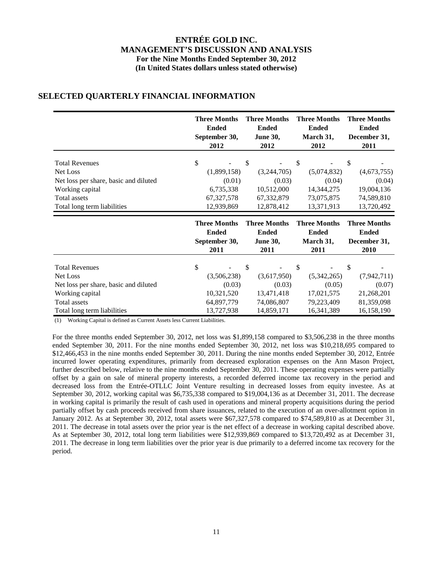|                                                                                                               | <b>Three Months</b>                       | <b>Three Months</b>                                     | <b>Three Months</b>                                     | <b>Three Months</b>                                     |
|---------------------------------------------------------------------------------------------------------------|-------------------------------------------|---------------------------------------------------------|---------------------------------------------------------|---------------------------------------------------------|
|                                                                                                               | <b>Ended</b>                              | <b>Ended</b>                                            | <b>Ended</b>                                            | <b>Ended</b>                                            |
|                                                                                                               | September 30,                             | <b>June 30,</b>                                         | March 31,                                               | December 31,                                            |
|                                                                                                               | 2012                                      | 2012                                                    | 2012                                                    | 2011                                                    |
| <b>Total Revenues</b>                                                                                         | \$                                        | \$                                                      | \$                                                      | \$                                                      |
| Net Loss                                                                                                      | (1,899,158)                               | (3,244,705)                                             | (5,074,832)                                             | (4,673,755)                                             |
| Net loss per share, basic and diluted                                                                         | (0.01)                                    | (0.03)                                                  | (0.04)                                                  | (0.04)                                                  |
| Working capital                                                                                               | 6,735,338                                 | 10,512,000                                              | 14,344,275                                              | 19,004,136                                              |
| Total assets                                                                                                  | 67, 327, 578                              | 67,332,879                                              | 73,075,875                                              | 74,589,810                                              |
| Total long term liabilities                                                                                   | 12,939,869                                | 12,878,412                                              | 13,371,913                                              | 13,720,492                                              |
|                                                                                                               | <b>Three Months</b>                       | <b>Three Months</b>                                     | <b>Three Months</b>                                     | <b>Three Months</b>                                     |
|                                                                                                               | <b>Ended</b>                              | <b>Ended</b>                                            | <b>Ended</b>                                            | <b>Ended</b>                                            |
|                                                                                                               | September 30,                             | <b>June 30,</b>                                         | March 31,                                               | December 31,                                            |
|                                                                                                               | 2011                                      | 2011                                                    | 2011                                                    | 2010                                                    |
| <b>Total Revenues</b><br>Net Loss<br>Net loss per share, basic and diluted<br>Working capital<br>Total assets | \$<br>(3,506,238)<br>(0.03)<br>10,321,520 | \$<br>(3,617,950)<br>(0.03)<br>13,471,418<br>74,086,807 | \$<br>(5,342,265)<br>(0.05)<br>17,021,575<br>79,223,409 | \$<br>(7,942,711)<br>(0.07)<br>21,268,201<br>81,359,098 |

## **SELECTED QUARTERLY FINANCIAL INFORMATION**

(1) Working Capital is defined as Current Assets less Current Liabilities.

For the three months ended September 30, 2012, net loss was \$1,899,158 compared to \$3,506,238 in the three months ended September 30, 2011. For the nine months ended September 30, 2012, net loss was \$10,218,695 compared to \$12,466,453 in the nine months ended September 30, 2011. During the nine months ended September 30, 2012, Entrée incurred lower operating expenditures, primarily from decreased exploration expenses on the Ann Mason Project, further described below, relative to the nine months ended September 30, 2011. These operating expenses were partially offset by a gain on sale of mineral property interests, a recorded deferred income tax recovery in the period and decreased loss from the Entrée-OTLLC Joint Venture resulting in decreased losses from equity investee. As at September 30, 2012, working capital was \$6,735,338 compared to \$19,004,136 as at December 31, 2011. The decrease in working capital is primarily the result of cash used in operations and mineral property acquisitions during the period partially offset by cash proceeds received from share issuances, related to the execution of an over-allotment option in January 2012. As at September 30, 2012, total assets were \$67,327,578 compared to \$74,589,810 as at December 31, 2011. The decrease in total assets over the prior year is the net effect of a decrease in working capital described above. As at September 30, 2012, total long term liabilities were \$12,939,869 compared to \$13,720,492 as at December 31, 2011. The decrease in long term liabilities over the prior year is due primarily to a deferred income tax recovery for the period.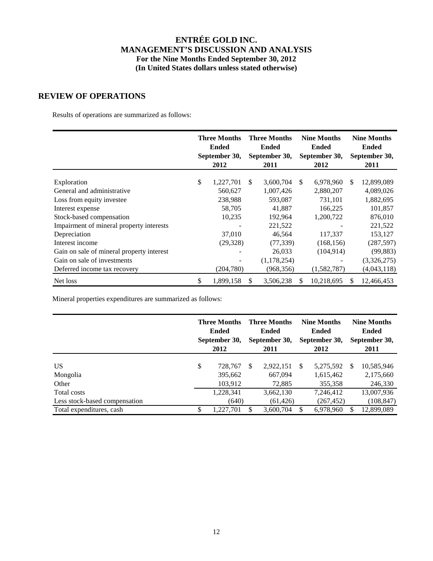## **REVIEW OF OPERATIONS**

Results of operations are summarized as follows:

|                                           | <b>Three Months</b><br><b>Ended</b><br>September 30, |            | <b>Three Months</b><br><b>Ended</b><br>September 30, |             | <b>Nine Months</b><br><b>Ended</b><br>September 30, |             | <b>Nine Months</b><br><b>Ended</b><br>September 30, |             |
|-------------------------------------------|------------------------------------------------------|------------|------------------------------------------------------|-------------|-----------------------------------------------------|-------------|-----------------------------------------------------|-------------|
|                                           |                                                      | 2012       |                                                      | 2011        |                                                     | 2012        |                                                     | 2011        |
| Exploration                               | \$                                                   | 1,227,701  | S.                                                   | 3,600,704   | \$.                                                 | 6,978,960   | S.                                                  | 12,899,089  |
| General and administrative                |                                                      | 560,627    |                                                      | 1,007,426   |                                                     | 2,880,207   |                                                     | 4,089,026   |
| Loss from equity investee                 |                                                      | 238,988    |                                                      | 593,087     |                                                     | 731,101     |                                                     | 1,882,695   |
| Interest expense                          |                                                      | 58,705     |                                                      | 41,887      |                                                     | 166,225     |                                                     | 101,857     |
| Stock-based compensation                  |                                                      | 10,235     |                                                      | 192,964     |                                                     | 1,200,722   |                                                     | 876,010     |
| Impairment of mineral property interests  |                                                      |            |                                                      | 221,522     |                                                     |             |                                                     | 221,522     |
| Depreciation                              |                                                      | 37,010     |                                                      | 46,564      |                                                     | 117,337     |                                                     | 153,127     |
| Interest income                           |                                                      | (29, 328)  |                                                      | (77, 339)   |                                                     | (168, 156)  |                                                     | (287, 597)  |
| Gain on sale of mineral property interest |                                                      |            |                                                      | 26,033      |                                                     | (104, 914)  |                                                     | (99, 883)   |
| Gain on sale of investments               |                                                      |            |                                                      | (1,178,254) |                                                     |             |                                                     | (3,326,275) |
| Deferred income tax recovery              |                                                      | (204, 780) |                                                      | (968, 356)  |                                                     | (1,582,787) |                                                     | (4,043,118) |
| Net loss                                  | \$                                                   | 1,899,158  |                                                      | 3,506,238   |                                                     | 10,218,695  | S.                                                  | 12,466,453  |

Mineral properties expenditures are summarized as follows:

|                                                       | <b>Three Months</b><br><b>Ended</b><br>September 30,<br>2012 |     | <b>Three Months</b><br><b>Ended</b><br>September 30,<br>2011 |               | <b>Nine Months</b><br><b>Ended</b><br>September 30,<br>2012 |               | <b>Nine Months</b><br><b>Ended</b><br>September 30,<br>2011 |
|-------------------------------------------------------|--------------------------------------------------------------|-----|--------------------------------------------------------------|---------------|-------------------------------------------------------------|---------------|-------------------------------------------------------------|
| US.<br>Mongolia                                       | \$<br>728,767<br>395,662                                     | \$. | 2,922,151<br>667.094                                         | <sup>\$</sup> | 5,275,592<br>1,615,462                                      | <sup>\$</sup> | 10,585,946<br>2,175,660                                     |
| Other<br>Total costs<br>Less stock-based compensation | 103,912<br>1,228,341<br>(640)                                |     | 72,885<br>3,662,130<br>(61, 426)                             |               | 355,358<br>7,246,412<br>(267, 452)                          |               | 246,330<br>13,007,936<br>(108, 847)                         |
| Total expenditures, cash                              | \$<br>1,227,701                                              |     | 3,600,704                                                    | S             | 6,978,960                                                   |               | 12,899,089                                                  |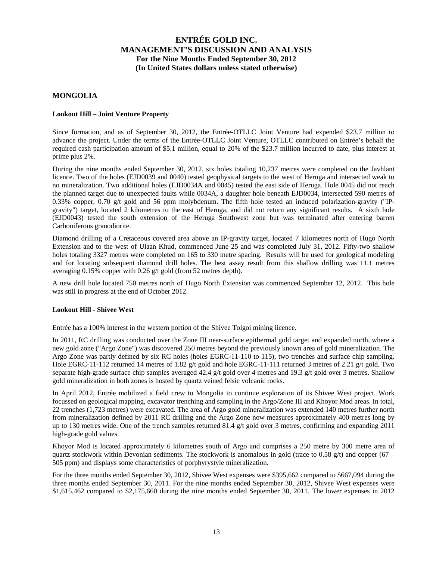## **MONGOLIA**

#### **Lookout Hill – Joint Venture Property**

Since formation, and as of September 30, 2012, the Entrée-OTLLC Joint Venture had expended \$23.7 million to advance the project. Under the terms of the Entrée-OTLLC Joint Venture, OTLLC contributed on Entrée's behalf the required cash participation amount of \$5.1 million, equal to 20% of the \$23.7 million incurred to date, plus interest at prime plus 2%.

During the nine months ended September 30, 2012, six holes totaling 10,237 metres were completed on the Javhlant licence. Two of the holes (EJD0039 and 0040) tested geophysical targets to the west of Heruga and intersected weak to no mineralization. Two additional holes (EJD0034A and 0045) tested the east side of Heruga. Hole 0045 did not reach the planned target due to unexpected faults while 0034A, a daughter hole beneath EJD0034, intersected 590 metres of 0.33% copper, 0.70 g/t gold and 56 ppm molybdenum. The fifth hole tested an induced polarization-gravity ("IPgravity") target, located 2 kilometres to the east of Heruga, and did not return any significant results. A sixth hole (EJD0043) tested the south extension of the Heruga Southwest zone but was terminated after entering barren Carboniferous granodiorite.

Diamond drilling of a Cretaceous covered area above an IP-gravity target, located 7 kilometres north of Hugo North Extension and to the west of Ulaan Khud, commenced June 25 and was completed July 31, 2012. Fifty-two shallow holes totaling 3327 metres were completed on 165 to 330 metre spacing. Results will be used for geological modeling and for locating subsequent diamond drill holes. The best assay result from this shallow drilling was 11.1 metres averaging 0.15% copper with 0.26 g/t gold (from 52 metres depth).

A new drill hole located 750 metres north of Hugo North Extension was commenced September 12, 2012. This hole was still in progress at the end of October 2012.

#### **Lookout Hill - Shivee West**

Entrée has a 100% interest in the western portion of the Shivee Tolgoi mining licence.

In 2011, RC drilling was conducted over the Zone III near-surface epithermal gold target and expanded north, where a new gold zone ("Argo Zone") was discovered 250 metres beyond the previously known area of gold mineralization. The Argo Zone was partly defined by six RC holes (holes EGRC-11-110 to 115), two trenches and surface chip sampling. Hole EGRC-11-112 returned 14 metres of 1.82 g/t gold and hole EGRC-11-111 returned 3 metres of 2.21 g/t gold. Two separate high-grade surface chip samples averaged 42.4 g/t gold over 4 metres and 19.3 g/t gold over 3 metres. Shallow gold mineralization in both zones is hosted by quartz veined felsic volcanic rocks.

In April 2012, Entrée mobilized a field crew to Mongolia to continue exploration of its Shivee West project. Work focussed on geological mapping, excavator trenching and sampling in the Argo/Zone III and Khoyor Mod areas. In total, 22 trenches (1,723 metres) were excavated. The area of Argo gold mineralization was extended 140 metres further north from mineralization defined by 2011 RC drilling and the Argo Zone now measures approximately 400 metres long by up to 130 metres wide. One of the trench samples returned 81.4  $g/t$  gold over 3 metres, confirming and expanding 2011 high-grade gold values.

Khoyor Mod is located approximately 6 kilometres south of Argo and comprises a 250 metre by 300 metre area of quartz stockwork within Devonian sediments. The stockwork is anomalous in gold (trace to 0.58 g/t) and copper (67 – 505 ppm) and displays some characteristics of porphyrystyle mineralization.

For the three months ended September 30, 2012, Shivee West expenses were \$395,662 compared to \$667,094 during the three months ended September 30, 2011. For the nine months ended September 30, 2012, Shivee West expenses were \$1,615,462 compared to \$2,175,660 during the nine months ended September 30, 2011. The lower expenses in 2012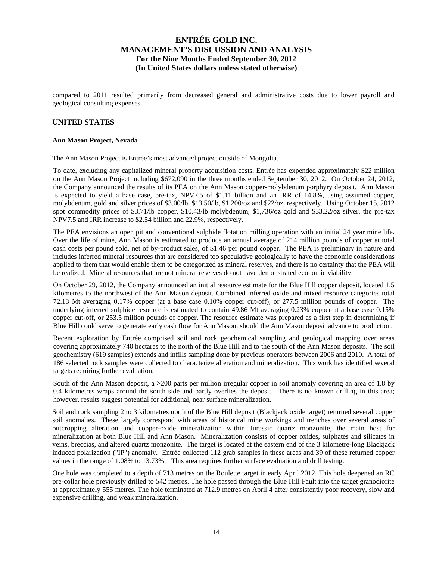compared to 2011 resulted primarily from decreased general and administrative costs due to lower payroll and geological consulting expenses.

## **UNITED STATES**

#### **Ann Mason Project, Nevada**

The Ann Mason Project is Entrée's most advanced project outside of Mongolia.

To date, excluding any capitalized mineral property acquisition costs, Entrée has expended approximately \$22 million on the Ann Mason Project including \$672,090 in the three months ended September 30, 2012. On October 24, 2012, the Company announced the results of its PEA on the Ann Mason copper-molybdenum porphyry deposit. Ann Mason is expected to yield a base case, pre-tax, NPV7.5 of \$1.11 billion and an IRR of 14.8%, using assumed copper, molybdenum, gold and silver prices of \$3.00/lb, \$13.50/lb, \$1,200/oz and \$22/oz, respectively. Using October 15, 2012 spot commodity prices of \$3.71/lb copper, \$10.43/lb molybdenum, \$1,736/oz gold and \$33.22/oz silver, the pre-tax NPV7.5 and IRR increase to \$2.54 billion and 22.9%, respectively.

The PEA envisions an open pit and conventional sulphide flotation milling operation with an initial 24 year mine life. Over the life of mine, Ann Mason is estimated to produce an annual average of 214 million pounds of copper at total cash costs per pound sold, net of by-product sales, of \$1.46 per pound copper. The PEA is preliminary in nature and includes inferred mineral resources that are considered too speculative geologically to have the economic considerations applied to them that would enable them to be categorized as mineral reserves, and there is no certainty that the PEA will be realized. Mineral resources that are not mineral reserves do not have demonstrated economic viability.

On October 29, 2012, the Company announced an initial resource estimate for the Blue Hill copper deposit, located 1.5 kilometres to the northwest of the Ann Mason deposit. Combined inferred oxide and mixed resource categories total 72.13 Mt averaging 0.17% copper (at a base case 0.10% copper cut-off), or 277.5 million pounds of copper. The underlying inferred sulphide resource is estimated to contain 49.86 Mt averaging 0.23% copper at a base case 0.15% copper cut-off, or 253.5 million pounds of copper. The resource estimate was prepared as a first step in determining if Blue Hill could serve to generate early cash flow for Ann Mason, should the Ann Mason deposit advance to production.

Recent exploration by Entrée comprised soil and rock geochemical sampling and geological mapping over areas covering approximately 740 hectares to the north of the Blue Hill and to the south of the Ann Mason deposits. The soil geochemistry (619 samples) extends and infills sampling done by previous operators between 2006 and 2010. A total of 186 selected rock samples were collected to characterize alteration and mineralization. This work has identified several targets requiring further evaluation.

South of the Ann Mason deposit, a >200 parts per million irregular copper in soil anomaly covering an area of 1.8 by 0.4 kilometres wraps around the south side and partly overlies the deposit. There is no known drilling in this area; however, results suggest potential for additional, near surface mineralization.

Soil and rock sampling 2 to 3 kilometres north of the Blue Hill deposit (Blackjack oxide target) returned several copper soil anomalies. These largely correspond with areas of historical mine workings and trenches over several areas of outcropping alteration and copper-oxide mineralization within Jurassic quartz monzonite, the main host for mineralization at both Blue Hill and Ann Mason. Mineralization consists of copper oxides, sulphates and silicates in veins, breccias, and altered quartz monzonite. The target is located at the eastern end of the 3 kilometre-long Blackjack induced polarization ("IP") anomaly. Entrée collected 112 grab samples in these areas and 39 of these returned copper values in the range of 1.08% to 13.73%. This area requires further surface evaluation and drill testing.

One hole was completed to a depth of 713 metres on the Roulette target in early April 2012. This hole deepened an RC pre-collar hole previously drilled to 542 metres. The hole passed through the Blue Hill Fault into the target granodiorite at approximately 555 metres. The hole terminated at 712.9 metres on April 4 after consistently poor recovery, slow and expensive drilling, and weak mineralization.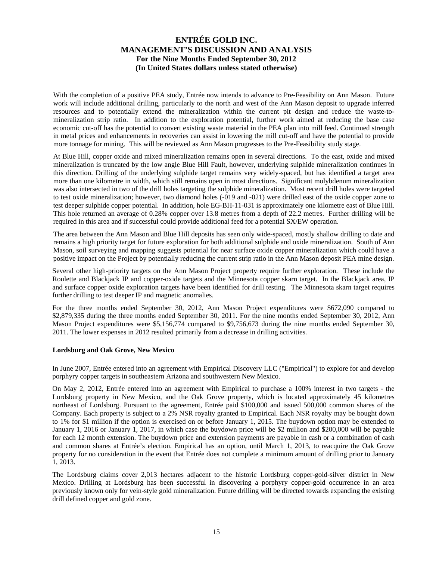With the completion of a positive PEA study, Entrée now intends to advance to Pre-Feasibility on Ann Mason. Future work will include additional drilling, particularly to the north and west of the Ann Mason deposit to upgrade inferred resources and to potentially extend the mineralization within the current pit design and reduce the waste-tomineralization strip ratio. In addition to the exploration potential, further work aimed at reducing the base case economic cut-off has the potential to convert existing waste material in the PEA plan into mill feed. Continued strength in metal prices and enhancements in recoveries can assist in lowering the mill cut-off and have the potential to provide more tonnage for mining. This will be reviewed as Ann Mason progresses to the Pre-Feasibility study stage.

At Blue Hill, copper oxide and mixed mineralization remains open in several directions. To the east, oxide and mixed mineralization is truncated by the low angle Blue Hill Fault, however, underlying sulphide mineralization continues in this direction. Drilling of the underlying sulphide target remains very widely-spaced, but has identified a target area more than one kilometre in width, which still remains open in most directions. Significant molybdenum mineralization was also intersected in two of the drill holes targeting the sulphide mineralization. Most recent drill holes were targeted to test oxide mineralization; however, two diamond holes (-019 and -021) were drilled east of the oxide copper zone to test deeper sulphide copper potential. In addition, hole EG-BH-11-031 is approximately one kilometre east of Blue Hill. This hole returned an average of 0.28% copper over 13.8 metres from a depth of 22.2 metres. Further drilling will be required in this area and if successful could provide additional feed for a potential SX/EW operation.

The area between the Ann Mason and Blue Hill deposits has seen only wide-spaced, mostly shallow drilling to date and remains a high priority target for future exploration for both additional sulphide and oxide mineralization. South of Ann Mason, soil surveying and mapping suggests potential for near surface oxide copper mineralization which could have a positive impact on the Project by potentially reducing the current strip ratio in the Ann Mason deposit PEA mine design.

Several other high-priority targets on the Ann Mason Project property require further exploration. These include the Roulette and Blackjack IP and copper-oxide targets and the Minnesota copper skarn target. In the Blackjack area, IP and surface copper oxide exploration targets have been identified for drill testing. The Minnesota skarn target requires further drilling to test deeper IP and magnetic anomalies.

For the three months ended September 30, 2012, Ann Mason Project expenditures were \$672,090 compared to \$2,879,335 during the three months ended September 30, 2011. For the nine months ended September 30, 2012, Ann Mason Project expenditures were \$5,156,774 compared to \$9,756,673 during the nine months ended September 30, 2011. The lower expenses in 2012 resulted primarily from a decrease in drilling activities.

## **Lordsburg and Oak Grove, New Mexico**

In June 2007, Entrée entered into an agreement with Empirical Discovery LLC ("Empirical") to explore for and develop porphyry copper targets in southeastern Arizona and southwestern New Mexico.

On May 2, 2012, Entrée entered into an agreement with Empirical to purchase a 100% interest in two targets - the Lordsburg property in New Mexico, and the Oak Grove property, which is located approximately 45 kilometres northeast of Lordsburg. Pursuant to the agreement, Entrée paid \$100,000 and issued 500,000 common shares of the Company. Each property is subject to a 2% NSR royalty granted to Empirical. Each NSR royalty may be bought down to 1% for \$1 million if the option is exercised on or before January 1, 2015. The buydown option may be extended to January 1, 2016 or January 1, 2017, in which case the buydown price will be \$2 million and \$200,000 will be payable for each 12 month extension. The buydown price and extension payments are payable in cash or a combination of cash and common shares at Entrée's election. Empirical has an option, until March 1, 2013, to reacquire the Oak Grove property for no consideration in the event that Entrée does not complete a minimum amount of drilling prior to January 1, 2013.

The Lordsburg claims cover 2,013 hectares adjacent to the historic Lordsburg copper-gold-silver district in New Mexico. Drilling at Lordsburg has been successful in discovering a porphyry copper-gold occurrence in an area previously known only for vein-style gold mineralization. Future drilling will be directed towards expanding the existing drill defined copper and gold zone.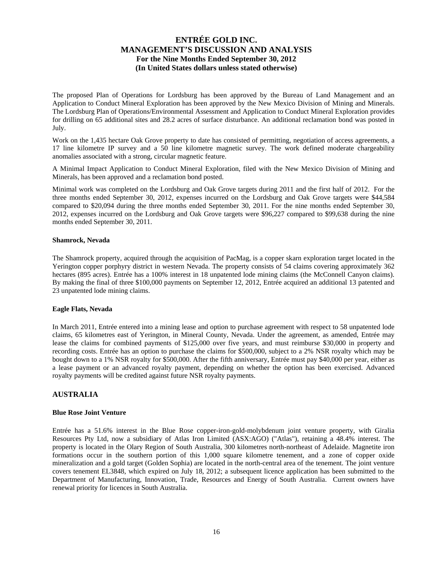The proposed Plan of Operations for Lordsburg has been approved by the Bureau of Land Management and an Application to Conduct Mineral Exploration has been approved by the New Mexico Division of Mining and Minerals. The Lordsburg Plan of Operations/Environmental Assessment and Application to Conduct Mineral Exploration provides for drilling on 65 additional sites and 28.2 acres of surface disturbance. An additional reclamation bond was posted in July.

Work on the 1,435 hectare Oak Grove property to date has consisted of permitting, negotiation of access agreements, a 17 line kilometre IP survey and a 50 line kilometre magnetic survey. The work defined moderate chargeability anomalies associated with a strong, circular magnetic feature.

A Minimal Impact Application to Conduct Mineral Exploration, filed with the New Mexico Division of Mining and Minerals, has been approved and a reclamation bond posted.

Minimal work was completed on the Lordsburg and Oak Grove targets during 2011 and the first half of 2012. For the three months ended September 30, 2012, expenses incurred on the Lordsburg and Oak Grove targets were \$44,584 compared to \$20,094 during the three months ended September 30, 2011. For the nine months ended September 30, 2012, expenses incurred on the Lordsburg and Oak Grove targets were \$96,227 compared to \$99,638 during the nine months ended September 30, 2011.

#### **Shamrock, Nevada**

The Shamrock property, acquired through the acquisition of PacMag, is a copper skarn exploration target located in the Yerington copper porphyry district in western Nevada. The property consists of 54 claims covering approximately 362 hectares (895 acres). Entrée has a 100% interest in 18 unpatented lode mining claims (the McConnell Canyon claims). By making the final of three \$100,000 payments on September 12, 2012, Entrée acquired an additional 13 patented and 23 unpatented lode mining claims.

#### **Eagle Flats, Nevada**

In March 2011, Entrée entered into a mining lease and option to purchase agreement with respect to 58 unpatented lode claims, 65 kilometres east of Yerington, in Mineral County, Nevada. Under the agreement, as amended, Entrée may lease the claims for combined payments of \$125,000 over five years, and must reimburse \$30,000 in property and recording costs. Entrée has an option to purchase the claims for \$500,000, subject to a 2% NSR royalty which may be bought down to a 1% NSR royalty for \$500,000. After the fifth anniversary, Entrée must pay \$40,000 per year, either as a lease payment or an advanced royalty payment, depending on whether the option has been exercised. Advanced royalty payments will be credited against future NSR royalty payments.

## **AUSTRALIA**

#### **Blue Rose Joint Venture**

Entrée has a 51.6% interest in the Blue Rose copper-iron-gold-molybdenum joint venture property, with Giralia Resources Pty Ltd, now a subsidiary of Atlas Iron Limited (ASX:AGO) ("Atlas"), retaining a 48.4% interest. The property is located in the Olary Region of South Australia, 300 kilometres north-northeast of Adelaide. Magnetite iron formations occur in the southern portion of this 1,000 square kilometre tenement, and a zone of copper oxide mineralization and a gold target (Golden Sophia) are located in the north-central area of the tenement. The joint venture covers tenement EL3848, which expired on July 18, 2012; a subsequent licence application has been submitted to the Department of Manufacturing, Innovation, Trade, Resources and Energy of South Australia. Current owners have renewal priority for licences in South Australia.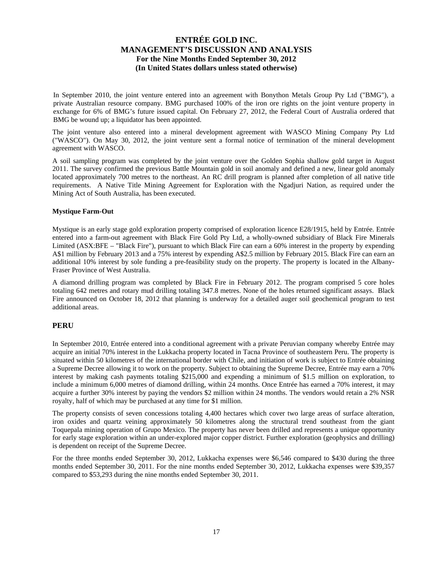In September 2010, the joint venture entered into an agreement with Bonython Metals Group Pty Ltd ("BMG"), a private Australian resource company. BMG purchased 100% of the iron ore rights on the joint venture property in exchange for 6% of BMG's future issued capital. On February 27, 2012, the Federal Court of Australia ordered that BMG be wound up; a liquidator has been appointed.

The joint venture also entered into a mineral development agreement with WASCO Mining Company Pty Ltd ("WASCO"). On May 30, 2012, the joint venture sent a formal notice of termination of the mineral development agreement with WASCO.

A soil sampling program was completed by the joint venture over the Golden Sophia shallow gold target in August 2011. The survey confirmed the previous Battle Mountain gold in soil anomaly and defined a new, linear gold anomaly located approximately 700 metres to the northeast. An RC drill program is planned after completion of all native title requirements. A Native Title Mining Agreement for Exploration with the Ngadjuri Nation, as required under the Mining Act of South Australia, has been executed.

## **Mystique Farm-Out**

Mystique is an early stage gold exploration property comprised of exploration licence E28/1915, held by Entrée. Entrée entered into a farm-out agreement with Black Fire Gold Pty Ltd, a wholly-owned subsidiary of Black Fire Minerals Limited (ASX:BFE – "Black Fire"), pursuant to which Black Fire can earn a 60% interest in the property by expending A\$1 million by February 2013 and a 75% interest by expending A\$2.5 million by February 2015. Black Fire can earn an additional 10% interest by sole funding a pre-feasibility study on the property. The property is located in the Albany-Fraser Province of West Australia.

A diamond drilling program was completed by Black Fire in February 2012. The program comprised 5 core holes totaling 642 metres and rotary mud drilling totaling 347.8 metres. None of the holes returned significant assays. Black Fire announced on October 18, 2012 that planning is underway for a detailed auger soil geochemical program to test additional areas.

## **PERU**

In September 2010, Entrée entered into a conditional agreement with a private Peruvian company whereby Entrée may acquire an initial 70% interest in the Lukkacha property located in Tacna Province of southeastern Peru. The property is situated within 50 kilometres of the international border with Chile, and initiation of work is subject to Entrée obtaining a Supreme Decree allowing it to work on the property. Subject to obtaining the Supreme Decree, Entrée may earn a 70% interest by making cash payments totaling \$215,000 and expending a minimum of \$1.5 million on exploration, to include a minimum 6,000 metres of diamond drilling, within 24 months. Once Entrée has earned a 70% interest, it may acquire a further 30% interest by paying the vendors \$2 million within 24 months. The vendors would retain a 2% NSR royalty, half of which may be purchased at any time for \$1 million.

The property consists of seven concessions totaling 4,400 hectares which cover two large areas of surface alteration, iron oxides and quartz veining approximately 50 kilometres along the structural trend southeast from the giant Toquepala mining operation of Grupo Mexico. The property has never been drilled and represents a unique opportunity for early stage exploration within an under-explored major copper district. Further exploration (geophysics and drilling) is dependent on receipt of the Supreme Decree.

For the three months ended September 30, 2012, Lukkacha expenses were \$6,546 compared to \$430 during the three months ended September 30, 2011. For the nine months ended September 30, 2012, Lukkacha expenses were \$39,357 compared to \$53,293 during the nine months ended September 30, 2011.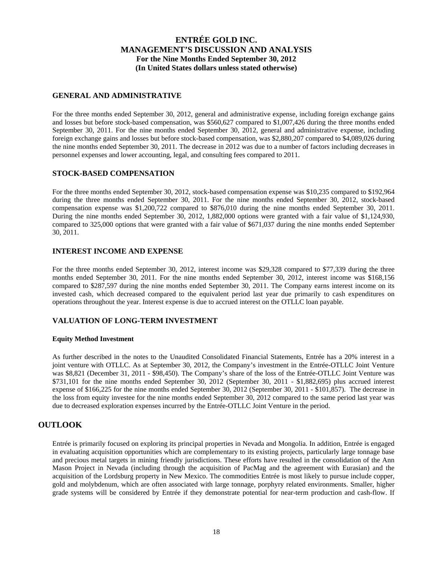## **GENERAL AND ADMINISTRATIVE**

For the three months ended September 30, 2012, general and administrative expense, including foreign exchange gains and losses but before stock-based compensation, was \$560,627 compared to \$1,007,426 during the three months ended September 30, 2011. For the nine months ended September 30, 2012, general and administrative expense, including foreign exchange gains and losses but before stock-based compensation, was \$2,880,207 compared to \$4,089,026 during the nine months ended September 30, 2011. The decrease in 2012 was due to a number of factors including decreases in personnel expenses and lower accounting, legal, and consulting fees compared to 2011.

## **STOCK-BASED COMPENSATION**

For the three months ended September 30, 2012, stock-based compensation expense was \$10,235 compared to \$192,964 during the three months ended September 30, 2011. For the nine months ended September 30, 2012, stock-based compensation expense was \$1,200,722 compared to \$876,010 during the nine months ended September 30, 2011. During the nine months ended September 30, 2012, 1,882,000 options were granted with a fair value of \$1,124,930, compared to 325,000 options that were granted with a fair value of \$671,037 during the nine months ended September 30, 2011.

## **INTEREST INCOME AND EXPENSE**

For the three months ended September 30, 2012, interest income was \$29,328 compared to \$77,339 during the three months ended September 30, 2011. For the nine months ended September 30, 2012, interest income was \$168,156 compared to \$287,597 during the nine months ended September 30, 2011. The Company earns interest income on its invested cash, which decreased compared to the equivalent period last year due primarily to cash expenditures on operations throughout the year. Interest expense is due to accrued interest on the OTLLC loan payable.

## **VALUATION OF LONG-TERM INVESTMENT**

## **Equity Method Investment**

As further described in the notes to the Unaudited Consolidated Financial Statements, Entrée has a 20% interest in a joint venture with OTLLC. As at September 30, 2012, the Company's investment in the Entrée-OTLLC Joint Venture was \$8,821 (December 31, 2011 - \$98,450). The Company's share of the loss of the Entrée-OTLLC Joint Venture was \$731,101 for the nine months ended September 30, 2012 (September 30, 2011 - \$1,882,695) plus accrued interest expense of \$166,225 for the nine months ended September 30, 2012 (September 30, 2011 - \$101,857). The decrease in the loss from equity investee for the nine months ended September 30, 2012 compared to the same period last year was due to decreased exploration expenses incurred by the Entrée-OTLLC Joint Venture in the period.

## **OUTLOOK**

Entrée is primarily focused on exploring its principal properties in Nevada and Mongolia. In addition, Entrée is engaged in evaluating acquisition opportunities which are complementary to its existing projects, particularly large tonnage base and precious metal targets in mining friendly jurisdictions. These efforts have resulted in the consolidation of the Ann Mason Project in Nevada (including through the acquisition of PacMag and the agreement with Eurasian) and the acquisition of the Lordsburg property in New Mexico. The commodities Entrée is most likely to pursue include copper, gold and molybdenum, which are often associated with large tonnage, porphyry related environments. Smaller, higher grade systems will be considered by Entrée if they demonstrate potential for near-term production and cash-flow. If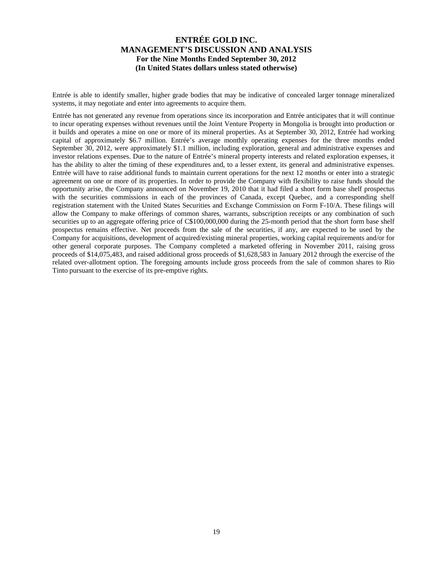Entrée is able to identify smaller, higher grade bodies that may be indicative of concealed larger tonnage mineralized systems, it may negotiate and enter into agreements to acquire them.

Entrée has not generated any revenue from operations since its incorporation and Entrée anticipates that it will continue to incur operating expenses without revenues until the Joint Venture Property in Mongolia is brought into production or it builds and operates a mine on one or more of its mineral properties. As at September 30, 2012, Entrée had working capital of approximately \$6.7 million. Entrée's average monthly operating expenses for the three months ended September 30, 2012, were approximately \$1.1 million, including exploration, general and administrative expenses and investor relations expenses. Due to the nature of Entrée's mineral property interests and related exploration expenses, it has the ability to alter the timing of these expenditures and, to a lesser extent, its general and administrative expenses. Entrée will have to raise additional funds to maintain current operations for the next 12 months or enter into a strategic agreement on one or more of its properties. In order to provide the Company with flexibility to raise funds should the opportunity arise, the Company announced on November 19, 2010 that it had filed a short form base shelf prospectus with the securities commissions in each of the provinces of Canada, except Quebec, and a corresponding shelf registration statement with the United States Securities and Exchange Commission on Form F-10/A. These filings will allow the Company to make offerings of common shares, warrants, subscription receipts or any combination of such securities up to an aggregate offering price of C\$100,000,000 during the 25-month period that the short form base shelf prospectus remains effective. Net proceeds from the sale of the securities, if any, are expected to be used by the Company for acquisitions, development of acquired/existing mineral properties, working capital requirements and/or for other general corporate purposes. The Company completed a marketed offering in November 2011, raising gross proceeds of \$14,075,483, and raised additional gross proceeds of \$1,628,583 in January 2012 through the exercise of the related over-allotment option. The foregoing amounts include gross proceeds from the sale of common shares to Rio Tinto pursuant to the exercise of its pre-emptive rights.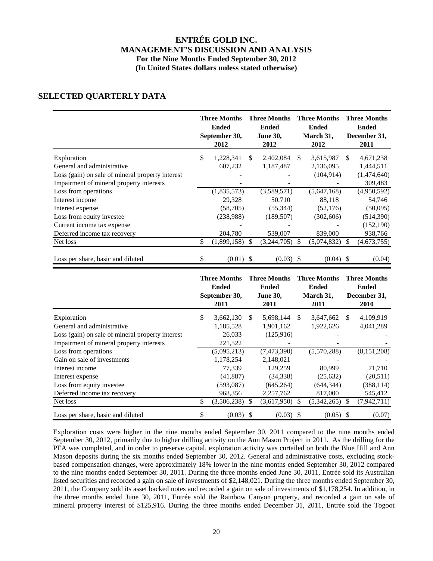# **SELECTED QUARTERLY DATA**

|                                                                                                                                           | <b>Three Months</b><br><b>Ended</b><br>September 30,<br>2012 | <b>Three Months</b><br><b>Ended</b><br><b>June 30,</b><br>2012 |               | <b>Three Months</b><br><b>Ended</b><br>March 31,<br>2012 |              | <b>Three Months</b><br><b>Ended</b><br>December 31,<br>2011 |
|-------------------------------------------------------------------------------------------------------------------------------------------|--------------------------------------------------------------|----------------------------------------------------------------|---------------|----------------------------------------------------------|--------------|-------------------------------------------------------------|
| Exploration<br>General and administrative<br>Loss (gain) on sale of mineral property interest                                             | \$<br>1,228,341<br>607,232                                   | \$<br>2,402,084<br>1,187,487                                   | <sup>\$</sup> | 3,615,987<br>2,136,095<br>(104, 914)                     | \$           | 4,671,238<br>1,444,511<br>(1,474,640)                       |
| Impairment of mineral property interests<br>Loss from operations<br>Interest income                                                       | (1,835,573)<br>29,328                                        | (3,589,571)<br>50,710                                          |               | (5,647,168)<br>88,118                                    |              | 309,483<br>(4,950,592)<br>54,746                            |
| Interest expense<br>Loss from equity investee                                                                                             | (58,705)<br>(238,988)                                        | (55, 344)<br>(189, 507)                                        |               | (52, 176)<br>(302, 606)                                  |              | (50,095)<br>(514, 390)                                      |
| Current income tax expense<br>Deferred income tax recovery<br>Net loss                                                                    | \$<br>204,780<br>(1,899,158)                                 | \$<br>539,007<br>(3,244,705)                                   | $\mathbb{S}$  | 839,000<br>(5,074,832)                                   | \$           | (152, 190)<br>938,766<br>(4,673,755)                        |
| Loss per share, basic and diluted                                                                                                         | \$<br>$(0.01)$ \$                                            | $(0.03)$ \$                                                    |               | $(0.04)$ \$                                              |              | (0.04)                                                      |
|                                                                                                                                           | <b>Three Months</b><br><b>Ended</b><br>September 30,<br>2011 | <b>Three Months</b><br><b>Ended</b><br><b>June 30,</b><br>2011 |               | <b>Three Months</b><br><b>Ended</b><br>March 31,<br>2011 |              | <b>Three Months</b><br><b>Ended</b><br>December 31,<br>2010 |
| Exploration<br>General and administrative<br>Loss (gain) on sale of mineral property interest<br>Impairment of mineral property interests | \$<br>3,662,130<br>1,185,528<br>26,033<br>221,522            | \$<br>5,698,144<br>1,901,162<br>(125, 916)                     | $\mathbb{S}$  | 3,647,662<br>1,922,626                                   | $\mathbb{S}$ | 4,109,919<br>4,041,289                                      |
| Loss from operations                                                                                                                      | (5,095,213)                                                  | (7,473,390)                                                    |               | (5,570,288)                                              |              | (8, 151, 208)                                               |

Exploration costs were higher in the nine months ended September 30, 2011 compared to the nine months ended September 30, 2012, primarily due to higher drilling activity on the Ann Mason Project in 2011. As the drilling for the PEA was completed, and in order to preserve capital, exploration activity was curtailed on both the Blue Hill and Ann Mason deposits during the six months ended September 30, 2012. General and administrative costs, excluding stockbased compensation changes, were approximately 18% lower in the nine months ended September 30, 2012 compared to the nine months ended September 30, 2011. During the three months ended June 30, 2011, Entrée sold its Australian listed securities and recorded a gain on sale of investments of \$2,148,021. During the three months ended September 30, 2011, the Company sold its asset backed notes and recorded a gain on sale of investments of \$1,178,254. In addition, in the three months ended June 30, 2011, Entrée sold the Rainbow Canyon property, and recorded a gain on sale of mineral property interest of \$125,916. During the three months ended December 31, 2011, Entrée sold the Togoot

Interest income 77,339 129,259 80,999 71,710 Interest expense (41,887) (34,338) (25,632) (20,511) Loss from equity investee (593,087) (645,264) (644,344) (388,114) Deferred income tax recovery 968,356 2,257,762 817,000 545,412 Net loss 6.342,265) \$ (3,506,238) \$ (3,617,950) \$ (5,342,265) \$ (7,942,711) Loss per share, basic and diluted  $\frac{1}{2}$   $\frac{1}{2}$   $\frac{1}{2}$   $\frac{1}{2}$   $\frac{1}{2}$   $\frac{1}{2}$   $\frac{1}{2}$   $\frac{1}{2}$   $\frac{1}{2}$   $\frac{1}{2}$   $\frac{1}{2}$   $\frac{1}{2}$   $\frac{1}{2}$   $\frac{1}{2}$   $\frac{1}{2}$   $\frac{1}{2}$   $\frac{1}{2}$   $\frac{1}{2}$   $\frac{1}{2$ 

Gain on sale of investments 1,178,254 2,148,021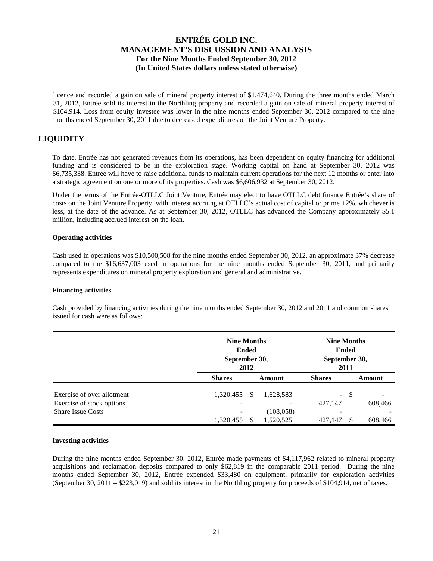licence and recorded a gain on sale of mineral property interest of \$1,474,640. During the three months ended March 31, 2012, Entrée sold its interest in the Northling property and recorded a gain on sale of mineral property interest of \$104,914. Loss from equity investee was lower in the nine months ended September 30, 2012 compared to the nine months ended September 30, 2011 due to decreased expenditures on the Joint Venture Property.

# **LIQUIDITY**

To date, Entrée has not generated revenues from its operations, has been dependent on equity financing for additional funding and is considered to be in the exploration stage. Working capital on hand at September 30, 2012 was \$6,735,338. Entrée will have to raise additional funds to maintain current operations for the next 12 months or enter into a strategic agreement on one or more of its properties. Cash was \$6,606,932 at September 30, 2012.

Under the terms of the Entrée-OTLLC Joint Venture, Entrée may elect to have OTLLC debt finance Entrée's share of costs on the Joint Venture Property, with interest accruing at OTLLC's actual cost of capital or prime +2%, whichever is less, at the date of the advance. As at September 30, 2012, OTLLC has advanced the Company approximately \$5.1 million, including accrued interest on the loan.

## **Operating activities**

Cash used in operations was \$10,500,508 for the nine months ended September 30, 2012, an approximate 37% decrease compared to the \$16,637,003 used in operations for the nine months ended September 30, 2011, and primarily represents expenditures on mineral property exploration and general and administrative.

## **Financing activities**

Cash provided by financing activities during the nine months ended September 30, 2012 and 2011 and common shares issued for cash were as follows:

|                            |               | <b>Nine Months</b><br><b>Ended</b><br>September 30,<br>2012 |            |               |     | <b>Nine Months</b><br>September 30, |
|----------------------------|---------------|-------------------------------------------------------------|------------|---------------|-----|-------------------------------------|
|                            | <b>Shares</b> |                                                             | Amount     | <b>Shares</b> |     | Amount                              |
| Exercise of over allotment | 1,320,455     | S                                                           | 1,628,583  | $\sim$        | -\$ | -                                   |
| Exercise of stock options  | -             |                                                             |            | 427,147       |     | 608,466                             |
| <b>Share Issue Costs</b>   |               |                                                             | (108, 058) | -             |     |                                     |
|                            | 1,320,455     |                                                             | 1,520,525  | 427.147       |     | 608,466                             |

## **Investing activities**

During the nine months ended September 30, 2012, Entrée made payments of \$4,117,962 related to mineral property acquisitions and reclamation deposits compared to only \$62,819 in the comparable 2011 period. During the nine months ended September 30, 2012, Entrée expended \$33,480 on equipment, primarily for exploration activities (September 30, 2011 – \$223,019) and sold its interest in the Northling property for proceeds of \$104,914, net of taxes.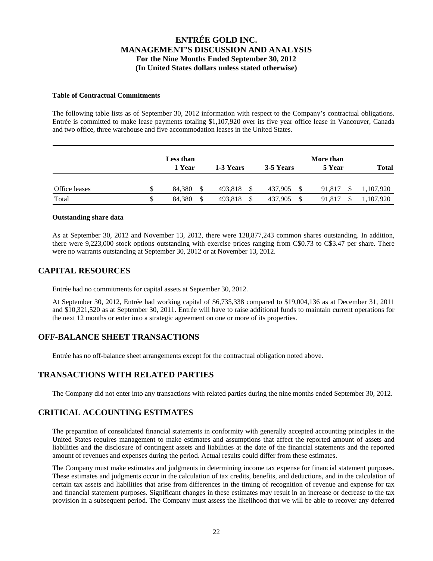#### **Table of Contractual Commitments**

The following table lists as of September 30, 2012 information with respect to the Company's contractual obligations. Entrée is committed to make lease payments totaling \$1,107,920 over its five year office lease in Vancouver, Canada and two office, three warehouse and five accommodation leases in the United States.

|               | Less than<br>1 Year | 1-3 Years | 3-5 Years     | More than<br>5 Year | <b>Total</b> |
|---------------|---------------------|-----------|---------------|---------------------|--------------|
| Office leases | \$<br>84.380        | 493,818   | -S<br>437,905 | 91.817              | 1,107,920    |
| Total         | 84.380<br>\$        | 493,818   | S<br>437.905  | 91.817              | 1,107,920    |

#### **Outstanding share data**

As at September 30, 2012 and November 13, 2012, there were 128,877,243 common shares outstanding. In addition, there were 9,223,000 stock options outstanding with exercise prices ranging from C\$0.73 to C\$3.47 per share. There were no warrants outstanding at September 30, 2012 or at November 13, 2012.

## **CAPITAL RESOURCES**

Entrée had no commitments for capital assets at September 30, 2012.

At September 30, 2012, Entrée had working capital of \$6,735,338 compared to \$19,004,136 as at December 31, 2011 and \$10,321,520 as at September 30, 2011. Entrée will have to raise additional funds to maintain current operations for the next 12 months or enter into a strategic agreement on one or more of its properties.

# **OFF-BALANCE SHEET TRANSACTIONS**

Entrée has no off-balance sheet arrangements except for the contractual obligation noted above.

# **TRANSACTIONS WITH RELATED PARTIES**

The Company did not enter into any transactions with related parties during the nine months ended September 30, 2012.

# **CRITICAL ACCOUNTING ESTIMATES**

The preparation of consolidated financial statements in conformity with generally accepted accounting principles in the United States requires management to make estimates and assumptions that affect the reported amount of assets and liabilities and the disclosure of contingent assets and liabilities at the date of the financial statements and the reported amount of revenues and expenses during the period. Actual results could differ from these estimates.

The Company must make estimates and judgments in determining income tax expense for financial statement purposes. These estimates and judgments occur in the calculation of tax credits, benefits, and deductions, and in the calculation of certain tax assets and liabilities that arise from differences in the timing of recognition of revenue and expense for tax and financial statement purposes. Significant changes in these estimates may result in an increase or decrease to the tax provision in a subsequent period. The Company must assess the likelihood that we will be able to recover any deferred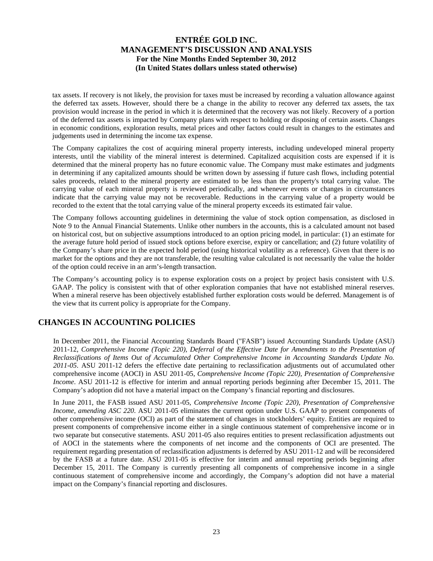tax assets. If recovery is not likely, the provision for taxes must be increased by recording a valuation allowance against the deferred tax assets. However, should there be a change in the ability to recover any deferred tax assets, the tax provision would increase in the period in which it is determined that the recovery was not likely. Recovery of a portion of the deferred tax assets is impacted by Company plans with respect to holding or disposing of certain assets. Changes in economic conditions, exploration results, metal prices and other factors could result in changes to the estimates and judgements used in determining the income tax expense.

The Company capitalizes the cost of acquiring mineral property interests, including undeveloped mineral property interests, until the viability of the mineral interest is determined. Capitalized acquisition costs are expensed if it is determined that the mineral property has no future economic value. The Company must make estimates and judgments in determining if any capitalized amounts should be written down by assessing if future cash flows, including potential sales proceeds, related to the mineral property are estimated to be less than the property's total carrying value. The carrying value of each mineral property is reviewed periodically, and whenever events or changes in circumstances indicate that the carrying value may not be recoverable. Reductions in the carrying value of a property would be recorded to the extent that the total carrying value of the mineral property exceeds its estimated fair value.

The Company follows accounting guidelines in determining the value of stock option compensation, as disclosed in Note 9 to the Annual Financial Statements. Unlike other numbers in the accounts, this is a calculated amount not based on historical cost, but on subjective assumptions introduced to an option pricing model, in particular: (1) an estimate for the average future hold period of issued stock options before exercise, expiry or cancellation; and (2) future volatility of the Company's share price in the expected hold period (using historical volatility as a reference). Given that there is no market for the options and they are not transferable, the resulting value calculated is not necessarily the value the holder of the option could receive in an arm's-length transaction.

The Company's accounting policy is to expense exploration costs on a project by project basis consistent with U.S. GAAP. The policy is consistent with that of other exploration companies that have not established mineral reserves. When a mineral reserve has been objectively established further exploration costs would be deferred. Management is of the view that its current policy is appropriate for the Company.

# **CHANGES IN ACCOUNTING POLICIES**

In December 2011, the Financial Accounting Standards Board ("FASB") issued Accounting Standards Update (ASU) 2011-12, *Comprehensive Income (Topic 220), Deferral of the Effective Date for Amendments to the Presentation of Reclassifications of Items Out of Accumulated Other Comprehensive Income in Accounting Standards Update No. 2011-05*. ASU 2011-12 defers the effective date pertaining to reclassification adjustments out of accumulated other comprehensive income (AOCI) in ASU 2011-05, *Comprehensive Income (Topic 220), Presentation of Comprehensive Income*. ASU 2011-12 is effective for interim and annual reporting periods beginning after December 15, 2011. The Company's adoption did not have a material impact on the Company's financial reporting and disclosures.

In June 2011, the FASB issued ASU 2011-05, *Comprehensive Income (Topic 220), Presentation of Comprehensive Income, amending ASC 220.* ASU 2011-05 eliminates the current option under U.S. GAAP to present components of other comprehensive income (OCI) as part of the statement of changes in stockholders' equity. Entities are required to present components of comprehensive income either in a single continuous statement of comprehensive income or in two separate but consecutive statements. ASU 2011-05 also requires entities to present reclassification adjustments out of AOCI in the statements where the components of net income and the components of OCI are presented. The requirement regarding presentation of reclassification adjustments is deferred by ASU 2011-12 and will be reconsidered by the FASB at a future date. ASU 2011-05 is effective for interim and annual reporting periods beginning after December 15, 2011. The Company is currently presenting all components of comprehensive income in a single continuous statement of comprehensive income and accordingly, the Company's adoption did not have a material impact on the Company's financial reporting and disclosures.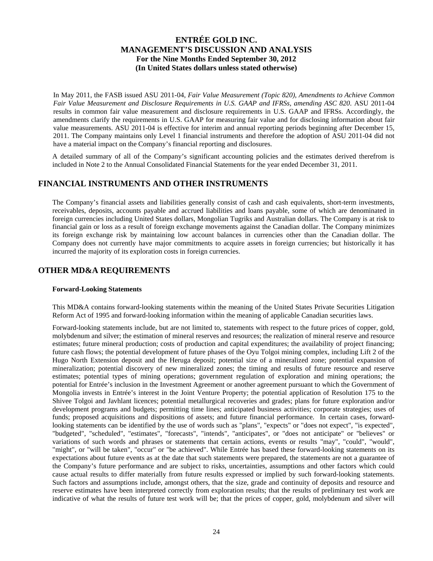In May 2011, the FASB issued ASU 2011-04, *Fair Value Measurement (Topic 820), Amendments to Achieve Common Fair Value Measurement and Disclosure Requirements in U.S. GAAP and IFRSs, amending ASC 820*. ASU 2011-04 results in common fair value measurement and disclosure requirements in U.S. GAAP and IFRSs. Accordingly, the amendments clarify the requirements in U.S. GAAP for measuring fair value and for disclosing information about fair value measurements. ASU 2011-04 is effective for interim and annual reporting periods beginning after December 15, 2011. The Company maintains only Level 1 financial instruments and therefore the adoption of ASU 2011-04 did not have a material impact on the Company's financial reporting and disclosures.

A detailed summary of all of the Company's significant accounting policies and the estimates derived therefrom is included in Note 2 to the Annual Consolidated Financial Statements for the year ended December 31, 2011.

# **FINANCIAL INSTRUMENTS AND OTHER INSTRUMENTS**

The Company's financial assets and liabilities generally consist of cash and cash equivalents, short-term investments, receivables, deposits, accounts payable and accrued liabilities and loans payable, some of which are denominated in foreign currencies including United States dollars, Mongolian Tugriks and Australian dollars. The Company is at risk to financial gain or loss as a result of foreign exchange movements against the Canadian dollar. The Company minimizes its foreign exchange risk by maintaining low account balances in currencies other than the Canadian dollar. The Company does not currently have major commitments to acquire assets in foreign currencies; but historically it has incurred the majority of its exploration costs in foreign currencies.

# **OTHER MD&A REQUIREMENTS**

## **Forward-Looking Statements**

This MD&A contains forward-looking statements within the meaning of the United States Private Securities Litigation Reform Act of 1995 and forward-looking information within the meaning of applicable Canadian securities laws.

Forward-looking statements include, but are not limited to, statements with respect to the future prices of copper, gold, molybdenum and silver; the estimation of mineral reserves and resources; the realization of mineral reserve and resource estimates; future mineral production; costs of production and capital expenditures; the availability of project financing; future cash flows; the potential development of future phases of the Oyu Tolgoi mining complex, including Lift 2 of the Hugo North Extension deposit and the Heruga deposit; potential size of a mineralized zone; potential expansion of mineralization; potential discovery of new mineralized zones; the timing and results of future resource and reserve estimates; potential types of mining operations; government regulation of exploration and mining operations; the potential for Entrée's inclusion in the Investment Agreement or another agreement pursuant to which the Government of Mongolia invests in Entrée's interest in the Joint Venture Property; the potential application of Resolution 175 to the Shivee Tolgoi and Javhlant licences; potential metallurgical recoveries and grades; plans for future exploration and/or development programs and budgets; permitting time lines; anticipated business activities; corporate strategies; uses of funds; proposed acquisitions and dispositions of assets; and future financial performance. In certain cases, forwardlooking statements can be identified by the use of words such as "plans", "expects" or "does not expect", "is expected", "budgeted", "scheduled", "estimates", "forecasts", "intends", "anticipates", or "does not anticipate" or "believes" or variations of such words and phrases or statements that certain actions, events or results "may", "could", "would", "might", or "will be taken", "occur" or "be achieved". While Entrée has based these forward-looking statements on its expectations about future events as at the date that such statements were prepared, the statements are not a guarantee of the Company's future performance and are subject to risks, uncertainties, assumptions and other factors which could cause actual results to differ materially from future results expressed or implied by such forward-looking statements. Such factors and assumptions include, amongst others, that the size, grade and continuity of deposits and resource and reserve estimates have been interpreted correctly from exploration results; that the results of preliminary test work are indicative of what the results of future test work will be; that the prices of copper, gold, molybdenum and silver will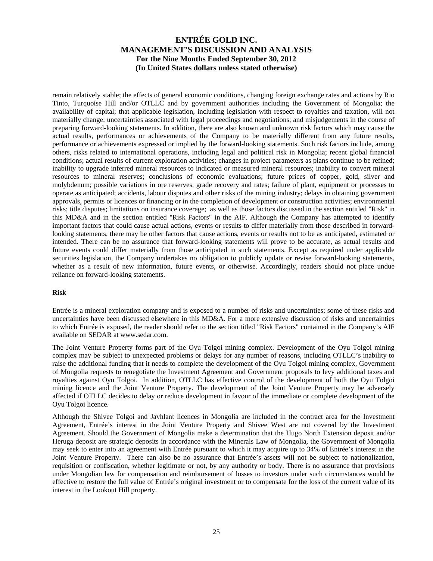remain relatively stable; the effects of general economic conditions, changing foreign exchange rates and actions by Rio Tinto, Turquoise Hill and/or OTLLC and by government authorities including the Government of Mongolia; the availability of capital; that applicable legislation, including legislation with respect to royalties and taxation, will not materially change; uncertainties associated with legal proceedings and negotiations; and misjudgements in the course of preparing forward-looking statements. In addition, there are also known and unknown risk factors which may cause the actual results, performances or achievements of the Company to be materially different from any future results, performance or achievements expressed or implied by the forward-looking statements. Such risk factors include, among others, risks related to international operations, including legal and political risk in Mongolia; recent global financial conditions; actual results of current exploration activities; changes in project parameters as plans continue to be refined; inability to upgrade inferred mineral resources to indicated or measured mineral resources; inability to convert mineral resources to mineral reserves; conclusions of economic evaluations; future prices of copper, gold, silver and molybdenum; possible variations in ore reserves, grade recovery and rates; failure of plant, equipment or processes to operate as anticipated; accidents, labour disputes and other risks of the mining industry; delays in obtaining government approvals, permits or licences or financing or in the completion of development or construction activities; environmental risks; title disputes; limitations on insurance coverage; as well as those factors discussed in the section entitled "Risk" in this MD&A and in the section entitled "Risk Factors" in the AIF. Although the Company has attempted to identify important factors that could cause actual actions, events or results to differ materially from those described in forwardlooking statements, there may be other factors that cause actions, events or results not to be as anticipated, estimated or intended. There can be no assurance that forward-looking statements will prove to be accurate, as actual results and future events could differ materially from those anticipated in such statements. Except as required under applicable securities legislation, the Company undertakes no obligation to publicly update or revise forward-looking statements, whether as a result of new information, future events, or otherwise. Accordingly, readers should not place undue reliance on forward-looking statements.

## **Risk**

Entrée is a mineral exploration company and is exposed to a number of risks and uncertainties; some of these risks and uncertainties have been discussed elsewhere in this MD&A. For a more extensive discussion of risks and uncertainties to which Entrée is exposed, the reader should refer to the section titled "Risk Factors" contained in the Company's AIF available on SEDAR at www.sedar.com.

The Joint Venture Property forms part of the Oyu Tolgoi mining complex. Development of the Oyu Tolgoi mining complex may be subject to unexpected problems or delays for any number of reasons, including OTLLC's inability to raise the additional funding that it needs to complete the development of the Oyu Tolgoi mining complex, Government of Mongolia requests to renegotiate the Investment Agreement and Government proposals to levy additional taxes and royalties against Oyu Tolgoi. In addition, OTLLC has effective control of the development of both the Oyu Tolgoi mining licence and the Joint Venture Property. The development of the Joint Venture Property may be adversely affected if OTLLC decides to delay or reduce development in favour of the immediate or complete development of the Oyu Tolgoi licence.

Although the Shivee Tolgoi and Javhlant licences in Mongolia are included in the contract area for the Investment Agreement, Entrée's interest in the Joint Venture Property and Shivee West are not covered by the Investment Agreement. Should the Government of Mongolia make a determination that the Hugo North Extension deposit and/or Heruga deposit are strategic deposits in accordance with the Minerals Law of Mongolia, the Government of Mongolia may seek to enter into an agreement with Entrée pursuant to which it may acquire up to 34% of Entrée's interest in the Joint Venture Property. There can also be no assurance that Entrée's assets will not be subject to nationalization, requisition or confiscation, whether legitimate or not, by any authority or body. There is no assurance that provisions under Mongolian law for compensation and reimbursement of losses to investors under such circumstances would be effective to restore the full value of Entrée's original investment or to compensate for the loss of the current value of its interest in the Lookout Hill property.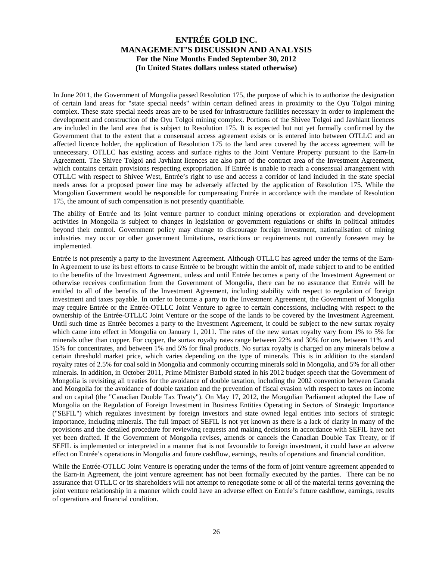In June 2011, the Government of Mongolia passed Resolution 175, the purpose of which is to authorize the designation of certain land areas for "state special needs" within certain defined areas in proximity to the Oyu Tolgoi mining complex. These state special needs areas are to be used for infrastructure facilities necessary in order to implement the development and construction of the Oyu Tolgoi mining complex. Portions of the Shivee Tolgoi and Javhlant licences are included in the land area that is subject to Resolution 175. It is expected but not yet formally confirmed by the Government that to the extent that a consensual access agreement exists or is entered into between OTLLC and an affected licence holder, the application of Resolution 175 to the land area covered by the access agreement will be unnecessary. OTLLC has existing access and surface rights to the Joint Venture Property pursuant to the Earn-In Agreement. The Shivee Tolgoi and Javhlant licences are also part of the contract area of the Investment Agreement, which contains certain provisions respecting expropriation. If Entrée is unable to reach a consensual arrangement with OTLLC with respect to Shivee West, Entrée's right to use and access a corridor of land included in the state special needs areas for a proposed power line may be adversely affected by the application of Resolution 175. While the Mongolian Government would be responsible for compensating Entrée in accordance with the mandate of Resolution 175, the amount of such compensation is not presently quantifiable.

The ability of Entrée and its joint venture partner to conduct mining operations or exploration and development activities in Mongolia is subject to changes in legislation or government regulations or shifts in political attitudes beyond their control. Government policy may change to discourage foreign investment, nationalisation of mining industries may occur or other government limitations, restrictions or requirements not currently foreseen may be implemented.

Entrée is not presently a party to the Investment Agreement. Although OTLLC has agreed under the terms of the Earn-In Agreement to use its best efforts to cause Entrée to be brought within the ambit of, made subject to and to be entitled to the benefits of the Investment Agreement, unless and until Entrée becomes a party of the Investment Agreement or otherwise receives confirmation from the Government of Mongolia, there can be no assurance that Entrée will be entitled to all of the benefits of the Investment Agreement, including stability with respect to regulation of foreign investment and taxes payable. In order to become a party to the Investment Agreement, the Government of Mongolia may require Entrée or the Entrée-OTLLC Joint Venture to agree to certain concessions, including with respect to the ownership of the Entrée-OTLLC Joint Venture or the scope of the lands to be covered by the Investment Agreement. Until such time as Entrée becomes a party to the Investment Agreement, it could be subject to the new surtax royalty which came into effect in Mongolia on January 1, 2011. The rates of the new surtax royalty vary from 1% to 5% for minerals other than copper. For copper, the surtax royalty rates range between 22% and 30% for ore, between 11% and 15% for concentrates, and between 1% and 5% for final products. No surtax royalty is charged on any minerals below a certain threshold market price, which varies depending on the type of minerals. This is in addition to the standard royalty rates of 2.5% for coal sold in Mongolia and commonly occurring minerals sold in Mongolia, and 5% for all other minerals. In addition, in October 2011, Prime Minister Batbold stated in his 2012 budget speech that the Government of Mongolia is revisiting all treaties for the avoidance of double taxation, including the 2002 convention between Canada and Mongolia for the avoidance of double taxation and the prevention of fiscal evasion with respect to taxes on income and on capital (the "Canadian Double Tax Treaty"). On May 17, 2012, the Mongolian Parliament adopted the Law of Mongolia on the Regulation of Foreign Investment in Business Entities Operating in Sectors of Strategic Importance ("SEFIL") which regulates investment by foreign investors and state owned legal entities into sectors of strategic importance, including minerals. The full impact of SEFIL is not yet known as there is a lack of clarity in many of the provisions and the detailed procedure for reviewing requests and making decisions in accordance with SEFIL have not yet been drafted. If the Government of Mongolia revises, amends or cancels the Canadian Double Tax Treaty, or if SEFIL is implemented or interpreted in a manner that is not favourable to foreign investment, it could have an adverse effect on Entrée's operations in Mongolia and future cashflow, earnings, results of operations and financial condition.

While the Entrée-OTLLC Joint Venture is operating under the terms of the form of joint venture agreement appended to the Earn-in Agreement, the joint venture agreement has not been formally executed by the parties. There can be no assurance that OTLLC or its shareholders will not attempt to renegotiate some or all of the material terms governing the joint venture relationship in a manner which could have an adverse effect on Entrée's future cashflow, earnings, results of operations and financial condition.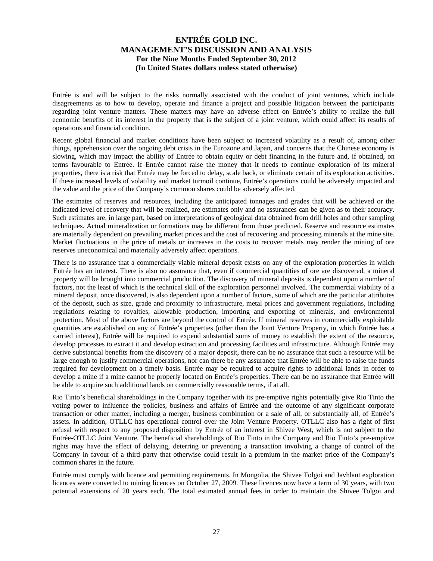Entrée is and will be subject to the risks normally associated with the conduct of joint ventures, which include disagreements as to how to develop, operate and finance a project and possible litigation between the participants regarding joint venture matters. These matters may have an adverse effect on Entrée's ability to realize the full economic benefits of its interest in the property that is the subject of a joint venture, which could affect its results of operations and financial condition.

Recent global financial and market conditions have been subject to increased volatility as a result of, among other things, apprehension over the ongoing debt crisis in the Eurozone and Japan, and concerns that the Chinese economy is slowing, which may impact the ability of Entrée to obtain equity or debt financing in the future and, if obtained, on terms favourable to Entrée. If Entrée cannot raise the money that it needs to continue exploration of its mineral properties, there is a risk that Entrée may be forced to delay, scale back, or eliminate certain of its exploration activities. If these increased levels of volatility and market turmoil continue, Entrée's operations could be adversely impacted and the value and the price of the Company's common shares could be adversely affected.

The estimates of reserves and resources, including the anticipated tonnages and grades that will be achieved or the indicated level of recovery that will be realized, are estimates only and no assurances can be given as to their accuracy. Such estimates are, in large part, based on interpretations of geological data obtained from drill holes and other sampling techniques. Actual mineralization or formations may be different from those predicted. Reserve and resource estimates are materially dependent on prevailing market prices and the cost of recovering and processing minerals at the mine site. Market fluctuations in the price of metals or increases in the costs to recover metals may render the mining of ore reserves uneconomical and materially adversely affect operations.

There is no assurance that a commercially viable mineral deposit exists on any of the exploration properties in which Entrée has an interest. There is also no assurance that, even if commercial quantities of ore are discovered, a mineral property will be brought into commercial production. The discovery of mineral deposits is dependent upon a number of factors, not the least of which is the technical skill of the exploration personnel involved. The commercial viability of a mineral deposit, once discovered, is also dependent upon a number of factors, some of which are the particular attributes of the deposit, such as size, grade and proximity to infrastructure, metal prices and government regulations, including regulations relating to royalties, allowable production, importing and exporting of minerals, and environmental protection. Most of the above factors are beyond the control of Entrée. If mineral reserves in commercially exploitable quantities are established on any of Entrée's properties (other than the Joint Venture Property, in which Entrée has a carried interest), Entrée will be required to expend substantial sums of money to establish the extent of the resource, develop processes to extract it and develop extraction and processing facilities and infrastructure. Although Entrée may derive substantial benefits from the discovery of a major deposit, there can be no assurance that such a resource will be large enough to justify commercial operations, nor can there be any assurance that Entrée will be able to raise the funds required for development on a timely basis. Entrée may be required to acquire rights to additional lands in order to develop a mine if a mine cannot be properly located on Entrée's properties. There can be no assurance that Entrée will be able to acquire such additional lands on commercially reasonable terms, if at all.

Rio Tinto's beneficial shareholdings in the Company together with its pre-emptive rights potentially give Rio Tinto the voting power to influence the policies, business and affairs of Entrée and the outcome of any significant corporate transaction or other matter, including a merger, business combination or a sale of all, or substantially all, of Entrée's assets. In addition, OTLLC has operational control over the Joint Venture Property. OTLLC also has a right of first refusal with respect to any proposed disposition by Entrée of an interest in Shivee West, which is not subject to the Entrée-OTLLC Joint Venture. The beneficial shareholdings of Rio Tinto in the Company and Rio Tinto's pre-emptive rights may have the effect of delaying, deterring or preventing a transaction involving a change of control of the Company in favour of a third party that otherwise could result in a premium in the market price of the Company's common shares in the future.

Entrée must comply with licence and permitting requirements. In Mongolia, the Shivee Tolgoi and Javhlant exploration licences were converted to mining licences on October 27, 2009. These licences now have a term of 30 years, with two potential extensions of 20 years each. The total estimated annual fees in order to maintain the Shivee Tolgoi and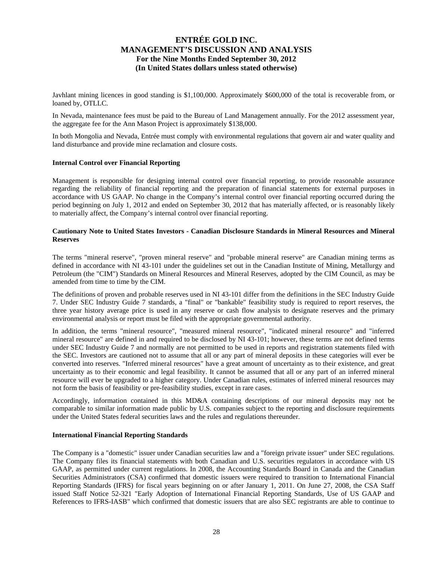Javhlant mining licences in good standing is \$1,100,000. Approximately \$600,000 of the total is recoverable from, or loaned by, OTLLC.

In Nevada, maintenance fees must be paid to the Bureau of Land Management annually. For the 2012 assessment year, the aggregate fee for the Ann Mason Project is approximately \$138,000.

In both Mongolia and Nevada, Entrée must comply with environmental regulations that govern air and water quality and land disturbance and provide mine reclamation and closure costs.

#### **Internal Control over Financial Reporting**

Management is responsible for designing internal control over financial reporting, to provide reasonable assurance regarding the reliability of financial reporting and the preparation of financial statements for external purposes in accordance with US GAAP. No change in the Company's internal control over financial reporting occurred during the period beginning on July 1, 2012 and ended on September 30, 2012 that has materially affected, or is reasonably likely to materially affect, the Company's internal control over financial reporting.

#### **Cautionary Note to United States Investors - Canadian Disclosure Standards in Mineral Resources and Mineral Reserves**

The terms "mineral reserve", "proven mineral reserve" and "probable mineral reserve" are Canadian mining terms as defined in accordance with NI 43-101 under the guidelines set out in the Canadian Institute of Mining, Metallurgy and Petroleum (the "CIM") Standards on Mineral Resources and Mineral Reserves, adopted by the CIM Council, as may be amended from time to time by the CIM.

The definitions of proven and probable reserves used in NI 43-101 differ from the definitions in the SEC Industry Guide 7. Under SEC Industry Guide 7 standards, a "final" or "bankable" feasibility study is required to report reserves, the three year history average price is used in any reserve or cash flow analysis to designate reserves and the primary environmental analysis or report must be filed with the appropriate governmental authority.

In addition, the terms "mineral resource", "measured mineral resource", "indicated mineral resource" and "inferred mineral resource" are defined in and required to be disclosed by NI 43-101; however, these terms are not defined terms under SEC Industry Guide 7 and normally are not permitted to be used in reports and registration statements filed with the SEC. Investors are cautioned not to assume that all or any part of mineral deposits in these categories will ever be converted into reserves. "Inferred mineral resources" have a great amount of uncertainty as to their existence, and great uncertainty as to their economic and legal feasibility. It cannot be assumed that all or any part of an inferred mineral resource will ever be upgraded to a higher category. Under Canadian rules, estimates of inferred mineral resources may not form the basis of feasibility or pre-feasibility studies, except in rare cases.

Accordingly, information contained in this MD&A containing descriptions of our mineral deposits may not be comparable to similar information made public by U.S. companies subject to the reporting and disclosure requirements under the United States federal securities laws and the rules and regulations thereunder.

#### **International Financial Reporting Standards**

The Company is a "domestic" issuer under Canadian securities law and a "foreign private issuer" under SEC regulations. The Company files its financial statements with both Canadian and U.S. securities regulators in accordance with US GAAP, as permitted under current regulations. In 2008, the Accounting Standards Board in Canada and the Canadian Securities Administrators (CSA) confirmed that domestic issuers were required to transition to International Financial Reporting Standards (IFRS) for fiscal years beginning on or after January 1, 2011. On June 27, 2008, the CSA Staff issued Staff Notice 52-321 "Early Adoption of International Financial Reporting Standards, Use of US GAAP and References to IFRS-IASB" which confirmed that domestic issuers that are also SEC registrants are able to continue to